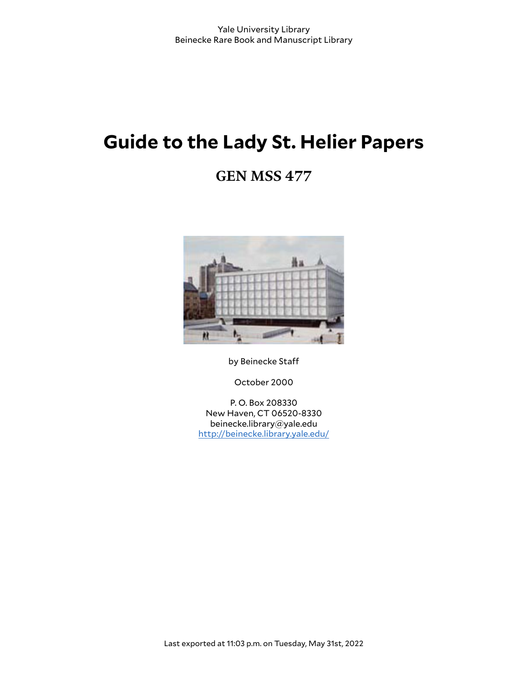# **Guide to the Lady St. Helier Papers**

# **GEN MSS 477**



by Beinecke Staff

October 2000

P. O. Box 208330 New Haven, CT 06520-8330 beinecke.library@yale.edu <http://beinecke.library.yale.edu/>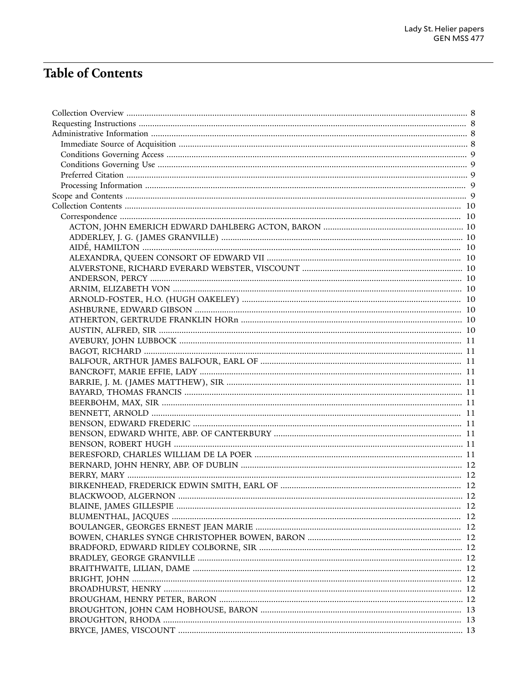# **Table of Contents**

| BLACKWOOD, ALGERNON. |  |
|----------------------|--|
|                      |  |
|                      |  |
|                      |  |
|                      |  |
|                      |  |
|                      |  |
|                      |  |
|                      |  |
|                      |  |
|                      |  |
|                      |  |
|                      |  |
|                      |  |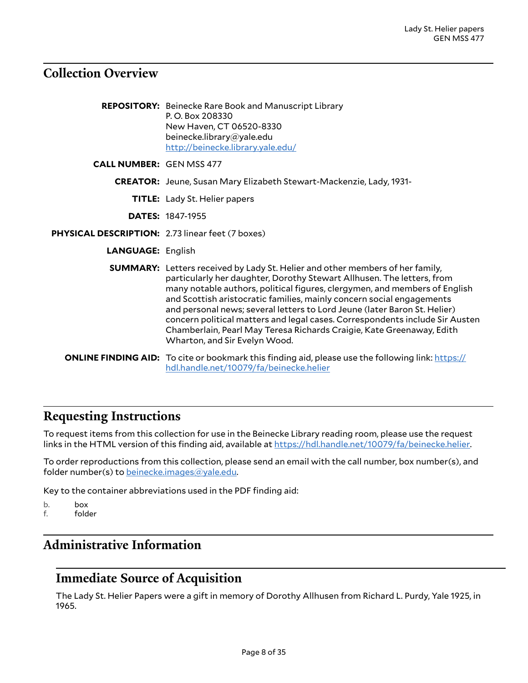# <span id="page-7-0"></span>**Collection Overview**

|                                                  | <b>REPOSITORY:</b> Beinecke Rare Book and Manuscript Library<br>P.O. Box 208330<br>New Haven, CT 06520-8330<br>beinecke.library@yale.edu<br>http://beinecke.library.yale.edu/                                                                                                                                                                                                                                                                                                                                                                                                                |
|--------------------------------------------------|----------------------------------------------------------------------------------------------------------------------------------------------------------------------------------------------------------------------------------------------------------------------------------------------------------------------------------------------------------------------------------------------------------------------------------------------------------------------------------------------------------------------------------------------------------------------------------------------|
| <b>CALL NUMBER: GEN MSS 477</b>                  |                                                                                                                                                                                                                                                                                                                                                                                                                                                                                                                                                                                              |
|                                                  | <b>CREATOR:</b> Jeune, Susan Mary Elizabeth Stewart-Mackenzie, Lady, 1931-                                                                                                                                                                                                                                                                                                                                                                                                                                                                                                                   |
|                                                  | <b>TITLE:</b> Lady St. Helier papers                                                                                                                                                                                                                                                                                                                                                                                                                                                                                                                                                         |
|                                                  | <b>DATES: 1847-1955</b>                                                                                                                                                                                                                                                                                                                                                                                                                                                                                                                                                                      |
| PHYSICAL DESCRIPTION: 2.73 linear feet (7 boxes) |                                                                                                                                                                                                                                                                                                                                                                                                                                                                                                                                                                                              |
| <b>LANGUAGE: English</b>                         |                                                                                                                                                                                                                                                                                                                                                                                                                                                                                                                                                                                              |
|                                                  | <b>SUMMARY:</b> Letters received by Lady St. Helier and other members of her family,<br>particularly her daughter, Dorothy Stewart Allhusen. The letters, from<br>many notable authors, political figures, clergymen, and members of English<br>and Scottish aristocratic families, mainly concern social engagements<br>and personal news; several letters to Lord Jeune (later Baron St. Helier)<br>concern political matters and legal cases. Correspondents include Sir Austen<br>Chamberlain, Pearl May Teresa Richards Craigie, Kate Greenaway, Edith<br>Wharton, and Sir Evelyn Wood. |
|                                                  | <b>ONLINE FINDING AID:</b> To cite or bookmark this finding aid, please use the following link: https://<br>hdl.handle.net/10079/fa/beinecke.helier                                                                                                                                                                                                                                                                                                                                                                                                                                          |

# <span id="page-7-1"></span>**Requesting Instructions**

To request items from this collection for use in the Beinecke Library reading room, please use the request links in the HTML version of this finding aid, available at <https://hdl.handle.net/10079/fa/beinecke.helier>.

To order reproductions from this collection, please send an email with the call number, box number(s), and folder number(s) to [beinecke.images@yale.edu.](mailto:beinecke.images@yale.edu)

Key to the container abbreviations used in the PDF finding aid:

b. box

f. folder

# <span id="page-7-2"></span>**Administrative Information**

# <span id="page-7-3"></span>**Immediate Source of Acquisition**

The Lady St. Helier Papers were a gift in memory of Dorothy Allhusen from Richard L. Purdy, Yale 1925, in 1965.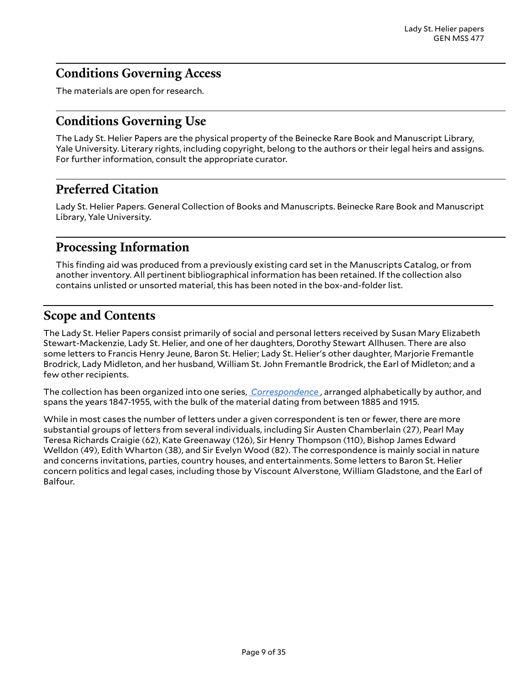# <span id="page-8-0"></span>**Conditions Governing Access**

The materials are open for research.

# <span id="page-8-1"></span>**Conditions Governing Use**

The Lady St. Helier Papers are the physical property of the Beinecke Rare Book and Manuscript Library, Yale University. Literary rights, including copyright, belong to the authors or their legal heirs and assigns. For further information, consult the appropriate curator.

# <span id="page-8-2"></span>**Preferred Citation**

Lady St. Helier Papers. General Collection of Books and Manuscripts. Beinecke Rare Book and Manuscript Library, Yale University.

# <span id="page-8-3"></span>**Processing Information**

This finding aid was produced from a previously existing card set in the Manuscripts Catalog, or from another inventory. All pertinent bibliographical information has been retained. If the collection also contains unlisted or unsorted material, this has been noted in the box-and-folder list.

# <span id="page-8-4"></span>**Scope and Contents**

The Lady St. Helier Papers consist primarily of social and personal letters received by Susan Mary Elizabeth Stewart-Mackenzie, Lady St. Helier, and one of her daughters, Dorothy Stewart Allhusen. There are also some letters to Francis Henry Jeune, Baron St. Helier; Lady St. Helier's other daughter, Marjorie Fremantle Brodrick, Lady Midleton, and her husband, William St. John Fremantle Brodrick, the Earl of Midleton; and a few other recipients.

The collection has been organized into one series, *[Correspondence](#page-9-1)* , arranged alphabetically by author, and spans the years 1847-1955, with the bulk of the material dating from between 1885 and 1915.

While in most cases the number of letters under a given correspondent is ten or fewer, there are more substantial groups of letters from several individuals, including Sir Austen Chamberlain (27), Pearl May Teresa Richards Craigie (62), Kate Greenaway (126), Sir Henry Thompson (110), Bishop James Edward Welldon (49), Edith Wharton (38), and Sir Evelyn Wood (82). The correspondence is mainly social in nature and concerns invitations, parties, country houses, and entertainments. Some letters to Baron St. Helier concern politics and legal cases, including those by Viscount Alverstone, William Gladstone, and the Earl of Balfour.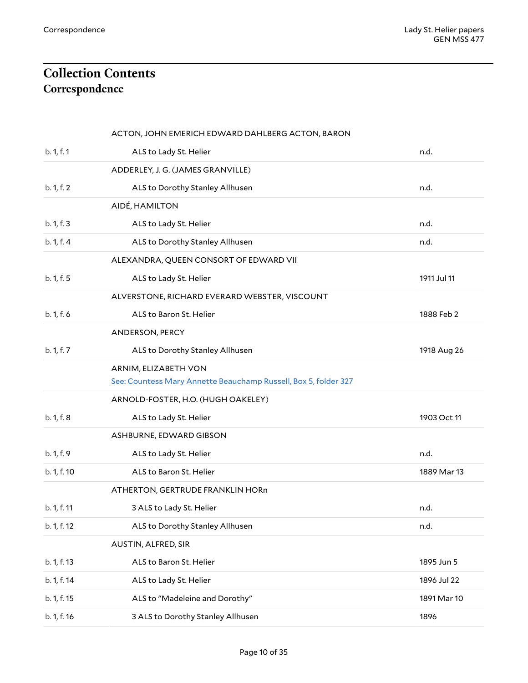# <span id="page-9-1"></span><span id="page-9-0"></span>**Collection Contents Correspondence**

<span id="page-9-12"></span><span id="page-9-11"></span><span id="page-9-10"></span><span id="page-9-9"></span><span id="page-9-8"></span><span id="page-9-7"></span><span id="page-9-6"></span><span id="page-9-5"></span><span id="page-9-4"></span><span id="page-9-3"></span><span id="page-9-2"></span>

|             | ACTON, JOHN EMERICH EDWARD DAHLBERG ACTON, BARON                |             |
|-------------|-----------------------------------------------------------------|-------------|
| b. 1, f. 1  | ALS to Lady St. Helier                                          | n.d.        |
|             | ADDERLEY, J. G. (JAMES GRANVILLE)                               |             |
| b. 1, f. 2  | ALS to Dorothy Stanley Allhusen                                 | n.d.        |
|             | AIDÉ, HAMILTON                                                  |             |
| b. 1, f. 3  | ALS to Lady St. Helier                                          | n.d.        |
| b. 1, f. 4  | ALS to Dorothy Stanley Allhusen                                 | n.d.        |
|             | ALEXANDRA, QUEEN CONSORT OF EDWARD VII                          |             |
| b. 1, f. 5  | ALS to Lady St. Helier                                          | 1911 Jul 11 |
|             | ALVERSTONE, RICHARD EVERARD WEBSTER, VISCOUNT                   |             |
| b. 1, f. 6  | ALS to Baron St. Helier                                         | 1888 Feb 2  |
|             | ANDERSON, PERCY                                                 |             |
| b. 1, f. 7  | ALS to Dorothy Stanley Allhusen                                 | 1918 Aug 26 |
|             | ARNIM, ELIZABETH VON                                            |             |
|             | See: Countess Mary Annette Beauchamp Russell, Box 5, folder 327 |             |
|             | ARNOLD-FOSTER, H.O. (HUGH OAKELEY)                              |             |
| b. 1, f. 8  | ALS to Lady St. Helier                                          | 1903 Oct 11 |
|             | ASHBURNE, EDWARD GIBSON                                         |             |
| b. 1, f. 9  | ALS to Lady St. Helier                                          | n.d.        |
| b. 1, f. 10 | ALS to Baron St. Helier                                         | 1889 Mar 13 |
|             | ATHERTON, GERTRUDE FRANKLIN HORn                                |             |
| b. 1, f. 11 | 3 ALS to Lady St. Helier                                        | n.d.        |
| b. 1, f. 12 | ALS to Dorothy Stanley Allhusen                                 | n.d.        |
|             | AUSTIN, ALFRED, SIR                                             |             |
| b. 1, f. 13 | ALS to Baron St. Helier                                         | 1895 Jun 5  |
| b. 1, f. 14 | ALS to Lady St. Helier                                          | 1896 Jul 22 |
| b. 1, f. 15 | ALS to "Madeleine and Dorothy"                                  | 1891 Mar 10 |
| b. 1, f. 16 | 3 ALS to Dorothy Stanley Allhusen                               | 1896        |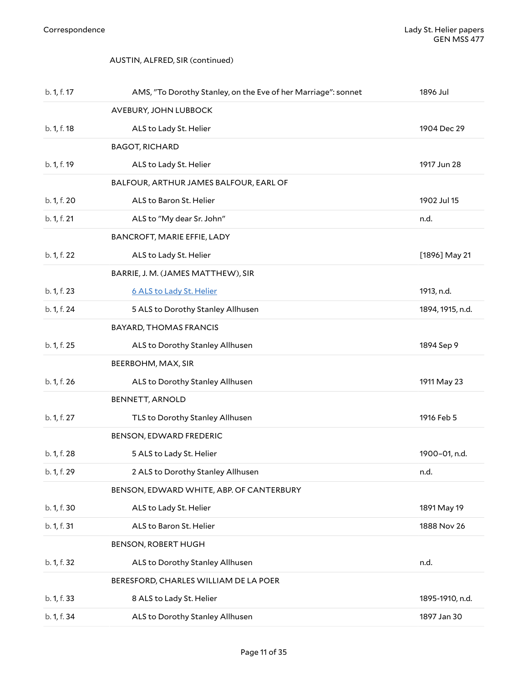### <span id="page-10-1"></span><span id="page-10-0"></span>AUSTIN, ALFRED, SIR (continued)

<span id="page-10-11"></span><span id="page-10-10"></span><span id="page-10-9"></span><span id="page-10-8"></span><span id="page-10-7"></span><span id="page-10-6"></span><span id="page-10-5"></span><span id="page-10-4"></span><span id="page-10-3"></span><span id="page-10-2"></span>

| b. 1, f. 17 | AMS, "To Dorothy Stanley, on the Eve of her Marriage": sonnet | 1896 Jul         |
|-------------|---------------------------------------------------------------|------------------|
|             | AVEBURY, JOHN LUBBOCK                                         |                  |
| b. 1, f. 18 | ALS to Lady St. Helier                                        | 1904 Dec 29      |
|             | <b>BAGOT, RICHARD</b>                                         |                  |
| b. 1, f. 19 | ALS to Lady St. Helier                                        | 1917 Jun 28      |
|             | BALFOUR, ARTHUR JAMES BALFOUR, EARL OF                        |                  |
| b. 1, f. 20 | ALS to Baron St. Helier                                       | 1902 Jul 15      |
| b. 1, f. 21 | ALS to "My dear Sr. John"                                     | n.d.             |
|             | BANCROFT, MARIE EFFIE, LADY                                   |                  |
| b. 1, f. 22 | ALS to Lady St. Helier                                        | [1896] May 21    |
|             | BARRIE, J. M. (JAMES MATTHEW), SIR                            |                  |
| b. 1, f. 23 | 6 ALS to Lady St. Helier                                      | 1913, n.d.       |
| b. 1, f. 24 | 5 ALS to Dorothy Stanley Allhusen                             | 1894, 1915, n.d. |
|             | <b>BAYARD, THOMAS FRANCIS</b>                                 |                  |
| b. 1, f. 25 | ALS to Dorothy Stanley Allhusen                               | 1894 Sep 9       |
|             | BEERBOHM, MAX, SIR                                            |                  |
| b. 1, f. 26 | ALS to Dorothy Stanley Allhusen                               | 1911 May 23      |
|             | <b>BENNETT, ARNOLD</b>                                        |                  |
| b. 1, f. 27 | TLS to Dorothy Stanley Allhusen                               | 1916 Feb 5       |
|             | BENSON, EDWARD FREDERIC                                       |                  |
| b. 1, f. 28 | 5 ALS to Lady St. Helier                                      | 1900-01, n.d.    |
| b. 1, f. 29 | 2 ALS to Dorothy Stanley Allhusen                             | n.d.             |
|             | BENSON, EDWARD WHITE, ABP. OF CANTERBURY                      |                  |
| b. 1, f. 30 | ALS to Lady St. Helier                                        | 1891 May 19      |
| b. 1, f. 31 | ALS to Baron St. Helier                                       | 1888 Nov 26      |
|             | <b>BENSON, ROBERT HUGH</b>                                    |                  |
| b. 1, f. 32 | ALS to Dorothy Stanley Allhusen                               | n.d.             |
|             | BERESFORD, CHARLES WILLIAM DE LA POER                         |                  |
| b. 1, f. 33 | 8 ALS to Lady St. Helier                                      | 1895-1910, n.d.  |
| b. 1, f. 34 | ALS to Dorothy Stanley Allhusen                               | 1897 Jan 30      |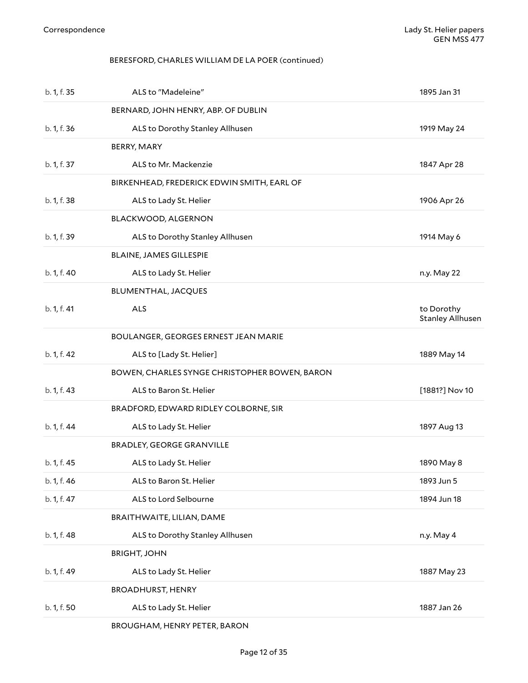### <span id="page-11-1"></span><span id="page-11-0"></span>BERESFORD, CHARLES WILLIAM DE LA POER (continued)

<span id="page-11-13"></span><span id="page-11-12"></span><span id="page-11-11"></span><span id="page-11-10"></span><span id="page-11-9"></span><span id="page-11-8"></span><span id="page-11-7"></span><span id="page-11-6"></span><span id="page-11-5"></span><span id="page-11-4"></span><span id="page-11-3"></span><span id="page-11-2"></span>

| b. 1, f. 35 | ALS to "Madeleine"                            | 1895 Jan 31                           |
|-------------|-----------------------------------------------|---------------------------------------|
|             | BERNARD, JOHN HENRY, ABP. OF DUBLIN           |                                       |
| b. 1, f. 36 | ALS to Dorothy Stanley Allhusen               | 1919 May 24                           |
|             | BERRY, MARY                                   |                                       |
| b. 1, f. 37 | ALS to Mr. Mackenzie                          | 1847 Apr 28                           |
|             | BIRKENHEAD, FREDERICK EDWIN SMITH, EARL OF    |                                       |
| b. 1, f. 38 | ALS to Lady St. Helier                        | 1906 Apr 26                           |
|             | BLACKWOOD, ALGERNON                           |                                       |
| b. 1, f. 39 | ALS to Dorothy Stanley Allhusen               | 1914 May 6                            |
|             | <b>BLAINE, JAMES GILLESPIE</b>                |                                       |
| b. 1, f. 40 | ALS to Lady St. Helier                        | n.y. May 22                           |
|             | BLUMENTHAL, JACQUES                           |                                       |
| b. 1, f. 41 | <b>ALS</b>                                    | to Dorothy<br><b>Stanley Allhusen</b> |
|             | BOULANGER, GEORGES ERNEST JEAN MARIE          |                                       |
| b. 1, f. 42 | ALS to [Lady St. Helier]                      | 1889 May 14                           |
|             | BOWEN, CHARLES SYNGE CHRISTOPHER BOWEN, BARON |                                       |
| b. 1, f. 43 | ALS to Baron St. Helier                       | [1881?] Nov 10                        |
|             | BRADFORD, EDWARD RIDLEY COLBORNE, SIR         |                                       |
| b. 1, f. 44 | ALS to Lady St. Helier                        | 1897 Aug 13                           |
|             | <b>BRADLEY, GEORGE GRANVILLE</b>              |                                       |
| b. 1, f. 45 | ALS to Lady St. Helier                        | 1890 May 8                            |
| b. 1, f. 46 | ALS to Baron St. Helier                       | 1893 Jun 5                            |
| b. 1, f. 47 | ALS to Lord Selbourne                         | 1894 Jun 18                           |
|             | BRAITHWAITE, LILIAN, DAME                     |                                       |
| b. 1, f. 48 | ALS to Dorothy Stanley Allhusen               | n.y. May 4                            |
|             | <b>BRIGHT, JOHN</b>                           |                                       |
| b. 1, f. 49 | ALS to Lady St. Helier                        | 1887 May 23                           |
|             | <b>BROADHURST, HENRY</b>                      |                                       |
| b. 1, f. 50 | ALS to Lady St. Helier                        | 1887 Jan 26                           |
|             | BROUGHAM, HENRY PETER, BARON                  |                                       |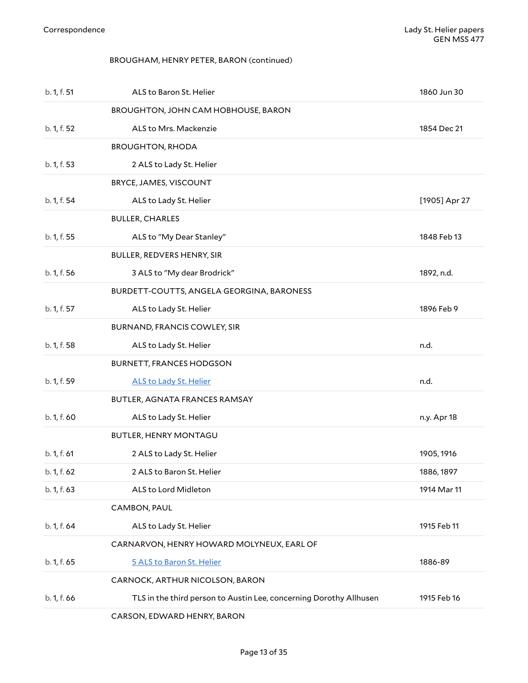### <span id="page-12-1"></span><span id="page-12-0"></span>BROUGHAM, HENRY PETER, BARON (continued)

<span id="page-12-13"></span><span id="page-12-12"></span><span id="page-12-11"></span><span id="page-12-10"></span><span id="page-12-9"></span><span id="page-12-8"></span><span id="page-12-7"></span><span id="page-12-6"></span><span id="page-12-5"></span><span id="page-12-4"></span><span id="page-12-3"></span><span id="page-12-2"></span>

| b. 1, f. 51 | ALS to Baron St. Helier                                            | 1860 Jun 30   |
|-------------|--------------------------------------------------------------------|---------------|
|             | BROUGHTON, JOHN CAM HOBHOUSE, BARON                                |               |
| b. 1, f. 52 | ALS to Mrs. Mackenzie                                              | 1854 Dec 21   |
|             | <b>BROUGHTON, RHODA</b>                                            |               |
| b. 1, f. 53 | 2 ALS to Lady St. Helier                                           |               |
|             | BRYCE, JAMES, VISCOUNT                                             |               |
| b. 1, f. 54 | ALS to Lady St. Helier                                             | [1905] Apr 27 |
|             | <b>BULLER, CHARLES</b>                                             |               |
| b. 1, f. 55 | ALS to "My Dear Stanley"                                           | 1848 Feb 13   |
|             | BULLER, REDVERS HENRY, SIR                                         |               |
| b. 1, f. 56 | 3 ALS to "My dear Brodrick"                                        | 1892, n.d.    |
|             | BURDETT-COUTTS, ANGELA GEORGINA, BARONESS                          |               |
| b. 1, f. 57 | ALS to Lady St. Helier                                             | 1896 Feb 9    |
|             | BURNAND, FRANCIS COWLEY, SIR                                       |               |
| b. 1, f. 58 | ALS to Lady St. Helier                                             | n.d.          |
|             | <b>BURNETT, FRANCES HODGSON</b>                                    |               |
| b. 1, f. 59 | <b>ALS to Lady St. Helier</b>                                      | n.d.          |
|             | BUTLER, AGNATA FRANCES RAMSAY                                      |               |
| b. 1, f. 60 | ALS to Lady St. Helier                                             | n.y. Apr 18   |
|             | BUTLER, HENRY MONTAGU                                              |               |
| b. 1, f. 61 | 2 ALS to Lady St. Helier                                           | 1905, 1916    |
| b. 1, f. 62 | 2 ALS to Baron St. Helier                                          | 1886, 1897    |
| b. 1, f. 63 | ALS to Lord Midleton                                               | 1914 Mar 11   |
|             | CAMBON, PAUL                                                       |               |
| b. 1, f. 64 | ALS to Lady St. Helier                                             | 1915 Feb 11   |
|             | CARNARVON, HENRY HOWARD MOLYNEUX, EARL OF                          |               |
| b. 1, f. 65 | 5 ALS to Baron St. Helier                                          | 1886-89       |
|             | CARNOCK, ARTHUR NICOLSON, BARON                                    |               |
| b. 1, f. 66 | TLS in the third person to Austin Lee, concerning Dorothy Allhusen | 1915 Feb 16   |
|             | CARSON, EDWARD HENRY, BARON                                        |               |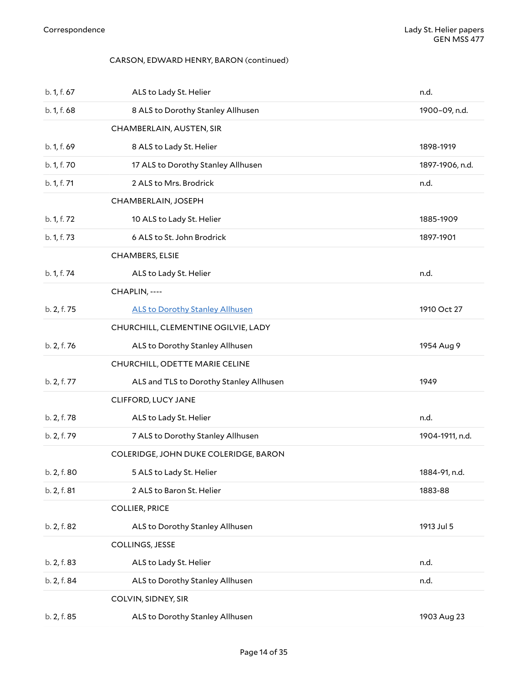### <span id="page-13-0"></span>CARSON, EDWARD HENRY, BARON (continued)

<span id="page-13-10"></span><span id="page-13-9"></span><span id="page-13-8"></span><span id="page-13-7"></span><span id="page-13-6"></span><span id="page-13-5"></span><span id="page-13-4"></span><span id="page-13-3"></span><span id="page-13-2"></span><span id="page-13-1"></span>

| b. 1, f. 67 | ALS to Lady St. Helier                  | n.d.            |
|-------------|-----------------------------------------|-----------------|
| b. 1, f. 68 | 8 ALS to Dorothy Stanley Allhusen       | 1900-09, n.d.   |
|             | CHAMBERLAIN, AUSTEN, SIR                |                 |
| b. 1, f. 69 | 8 ALS to Lady St. Helier                | 1898-1919       |
| b. 1, f. 70 | 17 ALS to Dorothy Stanley Allhusen      | 1897-1906, n.d. |
| b. 1, f. 71 | 2 ALS to Mrs. Brodrick                  | n.d.            |
|             | CHAMBERLAIN, JOSEPH                     |                 |
| b. 1, f. 72 | 10 ALS to Lady St. Helier               | 1885-1909       |
| b. 1, f. 73 | 6 ALS to St. John Brodrick              | 1897-1901       |
|             | <b>CHAMBERS, ELSIE</b>                  |                 |
| b. 1, f. 74 | ALS to Lady St. Helier                  | n.d.            |
|             | CHAPLIN, ----                           |                 |
| b. 2, f. 75 | <b>ALS to Dorothy Stanley Allhusen</b>  | 1910 Oct 27     |
|             | CHURCHILL, CLEMENTINE OGILVIE, LADY     |                 |
| b. 2, f. 76 | ALS to Dorothy Stanley Allhusen         | 1954 Aug 9      |
|             | CHURCHILL, ODETTE MARIE CELINE          |                 |
| b. 2, f. 77 | ALS and TLS to Dorothy Stanley Allhusen | 1949            |
|             | CLIFFORD, LUCY JANE                     |                 |
| b. 2, f. 78 | ALS to Lady St. Helier                  | n.d.            |
| b. 2, f. 79 | 7 ALS to Dorothy Stanley Allhusen       | 1904-1911, n.d. |
|             | COLERIDGE, JOHN DUKE COLERIDGE, BARON   |                 |
| b. 2, f. 80 | 5 ALS to Lady St. Helier                | 1884-91, n.d.   |
| b. 2, f. 81 | 2 ALS to Baron St. Helier               | 1883-88         |
|             | <b>COLLIER, PRICE</b>                   |                 |
| b. 2, f. 82 | ALS to Dorothy Stanley Allhusen         | 1913 Jul 5      |
|             | COLLINGS, JESSE                         |                 |
| b. 2, f. 83 | ALS to Lady St. Helier                  | n.d.            |
| b. 2, f. 84 | ALS to Dorothy Stanley Allhusen         | n.d.            |
|             | COLVIN, SIDNEY, SIR                     |                 |
| b. 2, f. 85 | ALS to Dorothy Stanley Allhusen         | 1903 Aug 23     |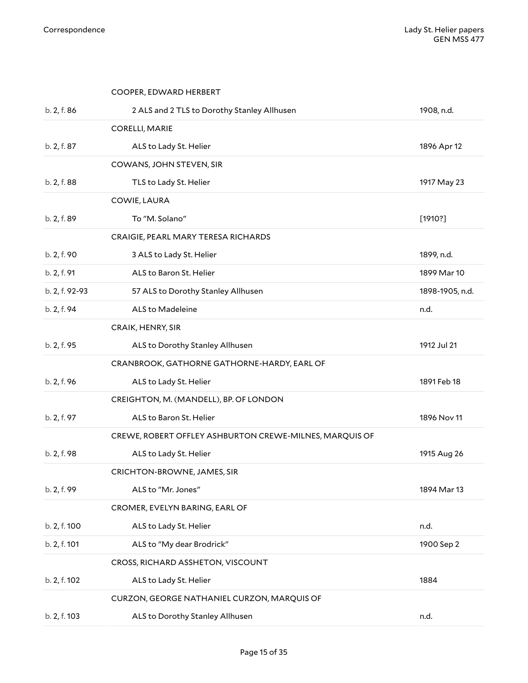<span id="page-14-13"></span><span id="page-14-12"></span><span id="page-14-11"></span><span id="page-14-10"></span><span id="page-14-9"></span><span id="page-14-8"></span><span id="page-14-7"></span><span id="page-14-6"></span><span id="page-14-5"></span><span id="page-14-4"></span><span id="page-14-3"></span><span id="page-14-2"></span><span id="page-14-1"></span><span id="page-14-0"></span>

|                | COOPER, EDWARD HERBERT                                  |                 |
|----------------|---------------------------------------------------------|-----------------|
| b. 2, f. 86    | 2 ALS and 2 TLS to Dorothy Stanley Allhusen             | 1908, n.d.      |
|                | CORELLI, MARIE                                          |                 |
| b. 2, f. 87    | ALS to Lady St. Helier                                  | 1896 Apr 12     |
|                | COWANS, JOHN STEVEN, SIR                                |                 |
| b. 2, f. 88    | TLS to Lady St. Helier                                  | 1917 May 23     |
|                | COWIE, LAURA                                            |                 |
| b. 2, f. 89    | To "M. Solano"                                          | [1910?]         |
|                | CRAIGIE, PEARL MARY TERESA RICHARDS                     |                 |
| b. 2, f. 90    | 3 ALS to Lady St. Helier                                | 1899, n.d.      |
| b. 2, f. 91    | ALS to Baron St. Helier                                 | 1899 Mar 10     |
| b. 2, f. 92-93 | 57 ALS to Dorothy Stanley Allhusen                      | 1898-1905, n.d. |
| b. 2, f. 94    | ALS to Madeleine                                        | n.d.            |
|                | CRAIK, HENRY, SIR                                       |                 |
| b. 2, f. 95    | ALS to Dorothy Stanley Allhusen                         | 1912 Jul 21     |
|                | CRANBROOK, GATHORNE GATHORNE-HARDY, EARL OF             |                 |
| b. 2, f. 96    | ALS to Lady St. Helier                                  | 1891 Feb 18     |
|                | CREIGHTON, M. (MANDELL), BP. OF LONDON                  |                 |
| b. 2, f. 97    | ALS to Baron St. Helier                                 | 1896 Nov 11     |
|                | CREWE, ROBERT OFFLEY ASHBURTON CREWE-MILNES, MARQUIS OF |                 |
| b. 2, f. 98    | ALS to Lady St. Helier                                  | 1915 Aug 26     |
|                | CRICHTON-BROWNE, JAMES, SIR                             |                 |
| b. 2, f. 99    | ALS to "Mr. Jones"                                      | 1894 Mar 13     |
|                | CROMER, EVELYN BARING, EARL OF                          |                 |
| b. 2, f. 100   | ALS to Lady St. Helier                                  | n.d.            |
| b. 2, f. 101   | ALS to "My dear Brodrick"                               | 1900 Sep 2      |
|                | CROSS, RICHARD ASSHETON, VISCOUNT                       |                 |
| b. 2, f. 102   | ALS to Lady St. Helier                                  | 1884            |
|                | CURZON, GEORGE NATHANIEL CURZON, MARQUIS OF             |                 |
| b. 2, f. 103   | ALS to Dorothy Stanley Allhusen                         | n.d.            |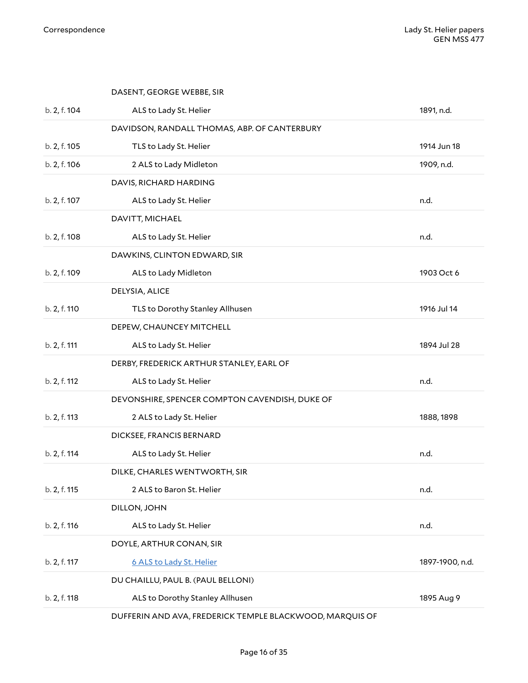<span id="page-15-6"></span><span id="page-15-5"></span><span id="page-15-4"></span><span id="page-15-3"></span><span id="page-15-2"></span><span id="page-15-1"></span><span id="page-15-0"></span>

|              | DASENT, GEORGE WEBBE, SIR                      |                 |
|--------------|------------------------------------------------|-----------------|
| b. 2, f. 104 | ALS to Lady St. Helier                         | 1891, n.d.      |
|              | DAVIDSON, RANDALL THOMAS, ABP. OF CANTERBURY   |                 |
| b. 2, f. 105 | TLS to Lady St. Helier                         | 1914 Jun 18     |
| b. 2, f. 106 | 2 ALS to Lady Midleton                         | 1909, n.d.      |
|              | DAVIS, RICHARD HARDING                         |                 |
| b. 2, f. 107 | ALS to Lady St. Helier                         | n.d.            |
|              | DAVITT, MICHAEL                                |                 |
| b. 2, f. 108 | ALS to Lady St. Helier                         | n.d.            |
|              | DAWKINS, CLINTON EDWARD, SIR                   |                 |
| b. 2, f. 109 | ALS to Lady Midleton                           | 1903 Oct 6      |
|              | DELYSIA, ALICE                                 |                 |
| b. 2, f. 110 | TLS to Dorothy Stanley Allhusen                | 1916 Jul 14     |
|              | DEPEW, CHAUNCEY MITCHELL                       |                 |
| b. 2, f. 111 | ALS to Lady St. Helier                         | 1894 Jul 28     |
|              | DERBY, FREDERICK ARTHUR STANLEY, EARL OF       |                 |
| b. 2, f. 112 | ALS to Lady St. Helier                         | n.d.            |
|              | DEVONSHIRE, SPENCER COMPTON CAVENDISH, DUKE OF |                 |
| b. 2, f. 113 | 2 ALS to Lady St. Helier                       | 1888, 1898      |
|              | DICKSEE, FRANCIS BERNARD                       |                 |
| b. 2, f. 114 | ALS to Lady St. Helier                         | n.d.            |
|              | DILKE, CHARLES WENTWORTH, SIR                  |                 |
| b. 2, f. 115 | 2 ALS to Baron St. Helier                      | n.d.            |
|              | DILLON, JOHN                                   |                 |
| b. 2, f. 116 | ALS to Lady St. Helier                         | n.d.            |
|              | DOYLE, ARTHUR CONAN, SIR                       |                 |
| b. 2, f. 117 | 6 ALS to Lady St. Helier                       | 1897-1900, n.d. |
|              | DU CHAILLU, PAUL B. (PAUL BELLONI)             |                 |
| b. 2, f. 118 | ALS to Dorothy Stanley Allhusen                | 1895 Aug 9      |
|              |                                                |                 |

<span id="page-15-14"></span><span id="page-15-13"></span><span id="page-15-12"></span><span id="page-15-11"></span><span id="page-15-10"></span><span id="page-15-9"></span><span id="page-15-8"></span><span id="page-15-7"></span>DUFFERIN AND AVA, FREDERICK TEMPLE BLACKWOOD, MARQUIS OF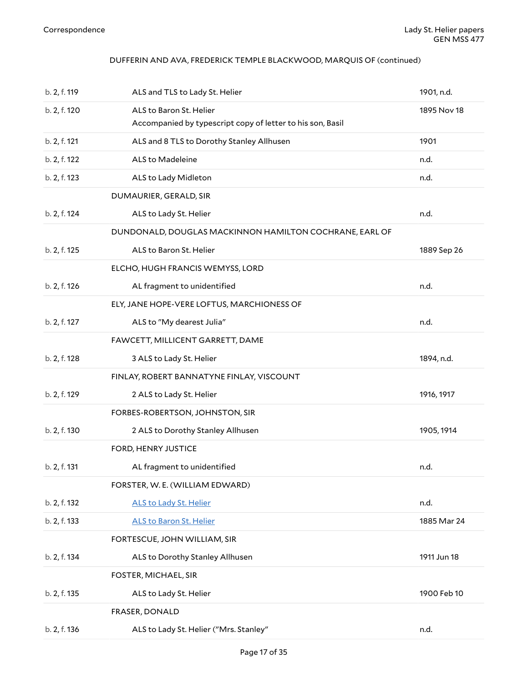### DUFFERIN AND AVA, FREDERICK TEMPLE BLACKWOOD, MARQUIS OF (continued)

<span id="page-16-11"></span><span id="page-16-10"></span><span id="page-16-9"></span><span id="page-16-8"></span><span id="page-16-7"></span><span id="page-16-6"></span><span id="page-16-5"></span><span id="page-16-4"></span><span id="page-16-3"></span><span id="page-16-2"></span><span id="page-16-1"></span><span id="page-16-0"></span>

| b. 2, f. 119 | ALS and TLS to Lady St. Helier                                                        | 1901, n.d.  |
|--------------|---------------------------------------------------------------------------------------|-------------|
| b. 2, f. 120 | ALS to Baron St. Helier<br>Accompanied by typescript copy of letter to his son, Basil | 1895 Nov 18 |
| b. 2, f. 121 | ALS and 8 TLS to Dorothy Stanley Allhusen                                             | 1901        |
| b. 2, f. 122 | ALS to Madeleine                                                                      | n.d.        |
| b. 2, f. 123 | ALS to Lady Midleton                                                                  | n.d.        |
|              | DUMAURIER, GERALD, SIR                                                                |             |
| b. 2, f. 124 | ALS to Lady St. Helier                                                                | n.d.        |
|              | DUNDONALD, DOUGLAS MACKINNON HAMILTON COCHRANE, EARL OF                               |             |
| b. 2, f. 125 | ALS to Baron St. Helier                                                               | 1889 Sep 26 |
|              | ELCHO, HUGH FRANCIS WEMYSS, LORD                                                      |             |
| b. 2, f. 126 | AL fragment to unidentified                                                           | n.d.        |
|              | ELY, JANE HOPE-VERE LOFTUS, MARCHIONESS OF                                            |             |
| b. 2, f. 127 | ALS to "My dearest Julia"                                                             | n.d.        |
|              | FAWCETT, MILLICENT GARRETT, DAME                                                      |             |
| b. 2, f. 128 | 3 ALS to Lady St. Helier                                                              | 1894, n.d.  |
|              | FINLAY, ROBERT BANNATYNE FINLAY, VISCOUNT                                             |             |
| b. 2, f. 129 | 2 ALS to Lady St. Helier                                                              | 1916, 1917  |
|              | FORBES-ROBERTSON, JOHNSTON, SIR                                                       |             |
| b. 2, f. 130 | 2 ALS to Dorothy Stanley Allhusen                                                     | 1905, 1914  |
|              | FORD, HENRY JUSTICE                                                                   |             |
| b. 2, f. 131 | AL fragment to unidentified                                                           | n.d.        |
|              | FORSTER, W. E. (WILLIAM EDWARD)                                                       |             |
| b. 2, f. 132 | <b>ALS to Lady St. Helier</b>                                                         | n.d.        |
| b. 2, f. 133 | <b>ALS to Baron St. Helier</b>                                                        | 1885 Mar 24 |
|              | FORTESCUE, JOHN WILLIAM, SIR                                                          |             |
| b. 2, f. 134 | ALS to Dorothy Stanley Allhusen                                                       | 1911 Jun 18 |
|              | FOSTER, MICHAEL, SIR                                                                  |             |
| b. 2, f. 135 | ALS to Lady St. Helier                                                                | 1900 Feb 10 |
|              | FRASER, DONALD                                                                        |             |
| b. 2, f. 136 | ALS to Lady St. Helier ("Mrs. Stanley"                                                | n.d.        |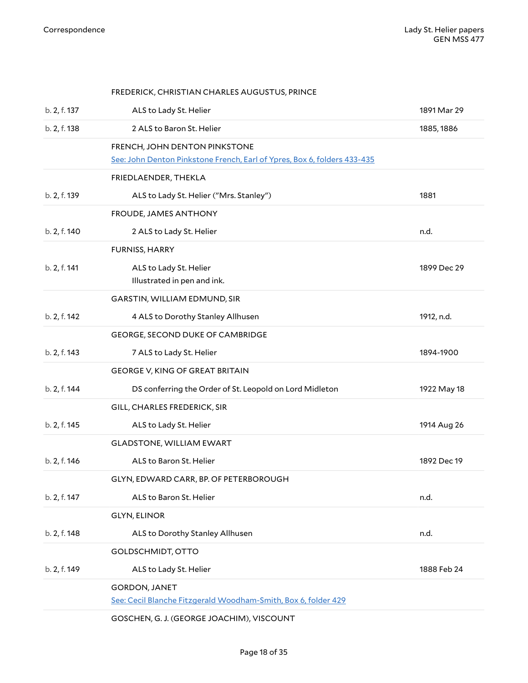<span id="page-17-14"></span><span id="page-17-13"></span><span id="page-17-12"></span><span id="page-17-11"></span><span id="page-17-10"></span><span id="page-17-9"></span><span id="page-17-8"></span><span id="page-17-7"></span><span id="page-17-6"></span><span id="page-17-5"></span><span id="page-17-4"></span><span id="page-17-3"></span><span id="page-17-2"></span><span id="page-17-1"></span><span id="page-17-0"></span>

|              | FREDERICK, CHRISTIAN CHARLES AUGUSTUS, PRINCE                                                             |             |
|--------------|-----------------------------------------------------------------------------------------------------------|-------------|
| b. 2, f. 137 | ALS to Lady St. Helier                                                                                    | 1891 Mar 29 |
| b. 2, f. 138 | 2 ALS to Baron St. Helier                                                                                 | 1885, 1886  |
|              | FRENCH, JOHN DENTON PINKSTONE<br>See: John Denton Pinkstone French, Earl of Ypres, Box 6, folders 433-435 |             |
|              | FRIEDLAENDER, THEKLA                                                                                      |             |
| b. 2, f. 139 | ALS to Lady St. Helier ("Mrs. Stanley")                                                                   | 1881        |
|              | FROUDE, JAMES ANTHONY                                                                                     |             |
| b. 2, f. 140 | 2 ALS to Lady St. Helier                                                                                  | n.d.        |
|              | FURNISS, HARRY                                                                                            |             |
| b. 2, f. 141 | ALS to Lady St. Helier<br>Illustrated in pen and ink.                                                     | 1899 Dec 29 |
|              | GARSTIN, WILLIAM EDMUND, SIR                                                                              |             |
| b. 2, f. 142 | 4 ALS to Dorothy Stanley Allhusen                                                                         | 1912, n.d.  |
|              | GEORGE, SECOND DUKE OF CAMBRIDGE                                                                          |             |
| b. 2, f. 143 | 7 ALS to Lady St. Helier                                                                                  | 1894-1900   |
|              | <b>GEORGE V, KING OF GREAT BRITAIN</b>                                                                    |             |
| b. 2, f. 144 | DS conferring the Order of St. Leopold on Lord Midleton                                                   | 1922 May 18 |
|              | GILL, CHARLES FREDERICK, SIR                                                                              |             |
| b. 2, f. 145 | ALS to Lady St. Helier                                                                                    | 1914 Aug 26 |
|              | <b>GLADSTONE, WILLIAM EWART</b>                                                                           |             |
| b. 2, f. 146 | ALS to Baron St. Helier                                                                                   | 1892 Dec 19 |
|              | GLYN, EDWARD CARR, BP. OF PETERBOROUGH                                                                    |             |
| b. 2, f. 147 | ALS to Baron St. Helier                                                                                   | n.d.        |
|              | <b>GLYN, ELINOR</b>                                                                                       |             |
| b. 2, f. 148 | ALS to Dorothy Stanley Allhusen                                                                           | n.d.        |
|              | GOLDSCHMIDT, OTTO                                                                                         |             |
| b. 2, f. 149 | ALS to Lady St. Helier                                                                                    | 1888 Feb 24 |
|              | <b>GORDON, JANET</b><br>See: Cecil Blanche Fitzgerald Woodham-Smith, Box 6, folder 429                    |             |
|              | GOSCHEN, G. J. (GEORGE JOACHIM), VISCOUNT                                                                 |             |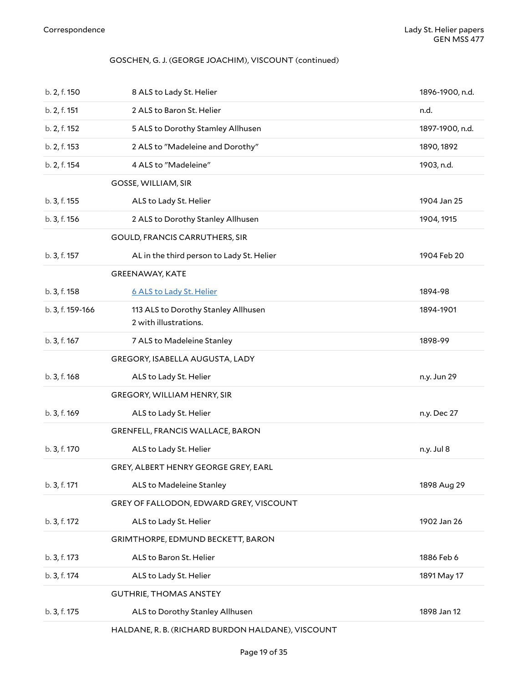### GOSCHEN, G. J. (GEORGE JOACHIM), VISCOUNT (continued)

<span id="page-18-10"></span><span id="page-18-9"></span><span id="page-18-8"></span><span id="page-18-7"></span><span id="page-18-6"></span><span id="page-18-5"></span><span id="page-18-4"></span><span id="page-18-3"></span><span id="page-18-2"></span><span id="page-18-1"></span><span id="page-18-0"></span>

| b. 2, f. 150     | 8 ALS to Lady St. Helier                                     | 1896-1900, n.d. |
|------------------|--------------------------------------------------------------|-----------------|
| b. 2, f. 151     | 2 ALS to Baron St. Helier                                    | n.d.            |
| b. 2, f. 152     | 5 ALS to Dorothy Stamley Allhusen                            | 1897-1900, n.d. |
| b. 2, f. 153     | 2 ALS to "Madeleine and Dorothy"                             | 1890, 1892      |
| b. 2, f. 154     | 4 ALS to "Madeleine"                                         | 1903, n.d.      |
|                  | GOSSE, WILLIAM, SIR                                          |                 |
| b. 3, f. 155     | ALS to Lady St. Helier                                       | 1904 Jan 25     |
| b. 3, f. 156     | 2 ALS to Dorothy Stanley Allhusen                            | 1904, 1915      |
|                  | GOULD, FRANCIS CARRUTHERS, SIR                               |                 |
| b. 3, f. 157     | AL in the third person to Lady St. Helier                    | 1904 Feb 20     |
|                  | <b>GREENAWAY, KATE</b>                                       |                 |
| b. 3, f. 158     | 6 ALS to Lady St. Helier                                     | 1894-98         |
| b. 3, f. 159-166 | 113 ALS to Dorothy Stanley Allhusen<br>2 with illustrations. | 1894-1901       |
| b. 3, f. 167     | 7 ALS to Madeleine Stanley                                   | 1898-99         |
|                  | GREGORY, ISABELLA AUGUSTA, LADY                              |                 |
| b. 3, f. 168     | ALS to Lady St. Helier                                       | n.y. Jun 29     |
|                  | GREGORY, WILLIAM HENRY, SIR                                  |                 |
| b. 3, f. 169     | ALS to Lady St. Helier                                       | n.y. Dec 27     |
|                  | GRENFELL, FRANCIS WALLACE, BARON                             |                 |
| b. 3, f. 170     | ALS to Lady St. Helier                                       | n.y. Jul 8      |
|                  | GREY, ALBERT HENRY GEORGE GREY, EARL                         |                 |
| b. 3, f. 171     | ALS to Madeleine Stanley                                     | 1898 Aug 29     |
|                  | GREY OF FALLODON, EDWARD GREY, VISCOUNT                      |                 |
| b. 3, f. 172     | ALS to Lady St. Helier                                       | 1902 Jan 26     |
|                  | GRIMTHORPE, EDMUND BECKETT, BARON                            |                 |
| b. 3, f. 173     | ALS to Baron St. Helier                                      | 1886 Feb 6      |
| b. 3, f. 174     | ALS to Lady St. Helier                                       | 1891 May 17     |
|                  | <b>GUTHRIE, THOMAS ANSTEY</b>                                |                 |
| b. 3, f. 175     | ALS to Dorothy Stanley Allhusen                              | 1898 Jan 12     |
|                  | HALDANE, R. B. (RICHARD BURDON HALDANE), VISCOUNT            |                 |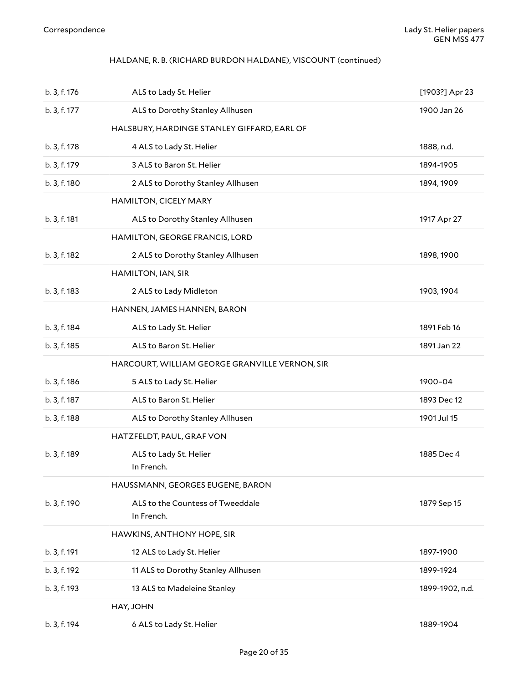### <span id="page-19-0"></span>HALDANE, R. B. (RICHARD BURDON HALDANE), VISCOUNT (continued)

<span id="page-19-10"></span><span id="page-19-9"></span><span id="page-19-8"></span><span id="page-19-7"></span><span id="page-19-6"></span><span id="page-19-5"></span><span id="page-19-4"></span><span id="page-19-3"></span><span id="page-19-2"></span><span id="page-19-1"></span>

| b. 3, f. 176 | ALS to Lady St. Helier                         | [1903?] Apr 23  |
|--------------|------------------------------------------------|-----------------|
| b. 3, f. 177 | ALS to Dorothy Stanley Allhusen                | 1900 Jan 26     |
|              | HALSBURY, HARDINGE STANLEY GIFFARD, EARL OF    |                 |
| b. 3, f. 178 | 4 ALS to Lady St. Helier                       | 1888, n.d.      |
| b. 3, f. 179 | 3 ALS to Baron St. Helier                      | 1894-1905       |
| b. 3, f. 180 | 2 ALS to Dorothy Stanley Allhusen              | 1894, 1909      |
|              | <b>HAMILTON, CICELY MARY</b>                   |                 |
| b. 3, f. 181 | ALS to Dorothy Stanley Allhusen                | 1917 Apr 27     |
|              | HAMILTON, GEORGE FRANCIS, LORD                 |                 |
| b. 3, f. 182 | 2 ALS to Dorothy Stanley Allhusen              | 1898, 1900      |
|              | HAMILTON, IAN, SIR                             |                 |
| b. 3, f. 183 | 2 ALS to Lady Midleton                         | 1903, 1904      |
|              | HANNEN, JAMES HANNEN, BARON                    |                 |
| b. 3, f. 184 | ALS to Lady St. Helier                         | 1891 Feb 16     |
| b. 3, f. 185 | ALS to Baron St. Helier                        | 1891 Jan 22     |
|              | HARCOURT, WILLIAM GEORGE GRANVILLE VERNON, SIR |                 |
| b. 3, f. 186 | 5 ALS to Lady St. Helier                       | 1900-04         |
| b. 3, f. 187 | ALS to Baron St. Helier                        | 1893 Dec 12     |
| b. 3, f. 188 | ALS to Dorothy Stanley Allhusen                | 1901 Jul 15     |
|              | HATZFELDT, PAUL, GRAF VON                      |                 |
| b. 3, f. 189 | ALS to Lady St. Helier<br>In French.           | 1885 Dec 4      |
|              | HAUSSMANN, GEORGES EUGENE, BARON               |                 |
| b. 3, f. 190 | ALS to the Countess of Tweeddale<br>In French. | 1879 Sep 15     |
|              | HAWKINS, ANTHONY HOPE, SIR                     |                 |
| b. 3, f. 191 | 12 ALS to Lady St. Helier                      | 1897-1900       |
| b. 3, f. 192 | 11 ALS to Dorothy Stanley Allhusen             | 1899-1924       |
| b. 3, f. 193 | 13 ALS to Madeleine Stanley                    | 1899-1902, n.d. |
|              | HAY, JOHN                                      |                 |
| b. 3, f. 194 | 6 ALS to Lady St. Helier                       | 1889-1904       |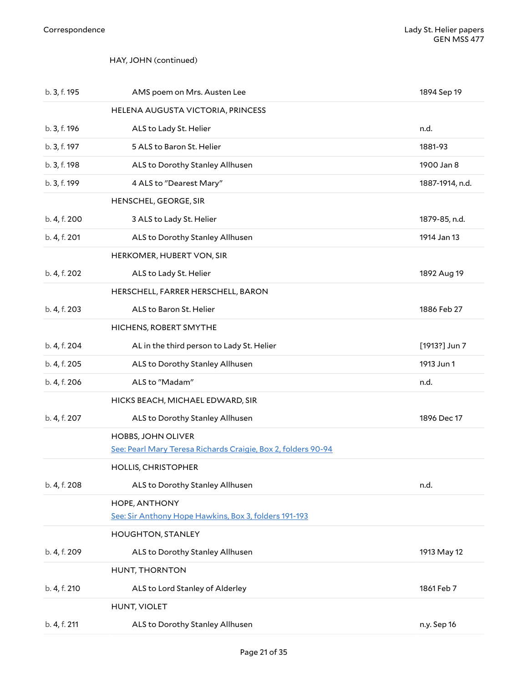### <span id="page-20-0"></span>HAY, JOHN (continued)

<span id="page-20-12"></span><span id="page-20-11"></span><span id="page-20-10"></span><span id="page-20-9"></span><span id="page-20-8"></span><span id="page-20-7"></span><span id="page-20-6"></span><span id="page-20-5"></span><span id="page-20-4"></span><span id="page-20-3"></span><span id="page-20-2"></span><span id="page-20-1"></span>

| b. 3, f. 195 | AMS poem on Mrs. Austen Lee                                                         | 1894 Sep 19     |
|--------------|-------------------------------------------------------------------------------------|-----------------|
|              | HELENA AUGUSTA VICTORIA, PRINCESS                                                   |                 |
| b. 3, f. 196 | ALS to Lady St. Helier                                                              | n.d.            |
| b. 3, f. 197 | 5 ALS to Baron St. Helier                                                           | 1881-93         |
| b. 3, f. 198 | ALS to Dorothy Stanley Allhusen                                                     | 1900 Jan 8      |
| b. 3, f. 199 | 4 ALS to "Dearest Mary"                                                             | 1887-1914, n.d. |
|              | HENSCHEL, GEORGE, SIR                                                               |                 |
| b. 4, f. 200 | 3 ALS to Lady St. Helier                                                            | 1879-85, n.d.   |
| b. 4, f. 201 | ALS to Dorothy Stanley Allhusen                                                     | 1914 Jan 13     |
|              | HERKOMER, HUBERT VON, SIR                                                           |                 |
| b. 4, f. 202 | ALS to Lady St. Helier                                                              | 1892 Aug 19     |
|              | HERSCHELL, FARRER HERSCHELL, BARON                                                  |                 |
| b. 4, f. 203 | ALS to Baron St. Helier                                                             | 1886 Feb 27     |
|              | HICHENS, ROBERT SMYTHE                                                              |                 |
| b. 4, f. 204 | AL in the third person to Lady St. Helier                                           | [1913?] Jun 7   |
| b. 4, f. 205 | ALS to Dorothy Stanley Allhusen                                                     | 1913 Jun 1      |
| b. 4, f. 206 | ALS to "Madam"                                                                      | n.d.            |
|              | HICKS BEACH, MICHAEL EDWARD, SIR                                                    |                 |
| b. 4, f. 207 | ALS to Dorothy Stanley Allhusen                                                     | 1896 Dec 17     |
|              |                                                                                     |                 |
|              | HOBBS, JOHN OLIVER<br>See: Pearl Mary Teresa Richards Craigie, Box 2, folders 90-94 |                 |
|              | <b>HOLLIS, CHRISTOPHER</b>                                                          |                 |
| b. 4, f. 208 | ALS to Dorothy Stanley Allhusen                                                     | n.d.            |
|              | HOPE, ANTHONY<br>See: Sir Anthony Hope Hawkins, Box 3, folders 191-193              |                 |
|              | <b>HOUGHTON, STANLEY</b>                                                            |                 |
| b. 4, f. 209 | ALS to Dorothy Stanley Allhusen                                                     | 1913 May 12     |
|              | HUNT, THORNTON                                                                      |                 |
| b. 4, f. 210 | ALS to Lord Stanley of Alderley                                                     | 1861 Feb 7      |
|              | HUNT, VIOLET                                                                        |                 |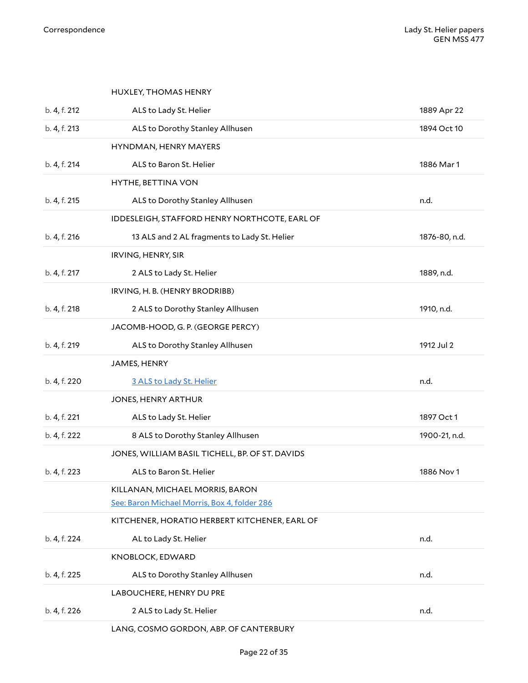<span id="page-21-14"></span><span id="page-21-13"></span><span id="page-21-12"></span><span id="page-21-11"></span><span id="page-21-10"></span><span id="page-21-9"></span><span id="page-21-8"></span><span id="page-21-7"></span><span id="page-21-6"></span><span id="page-21-5"></span><span id="page-21-4"></span><span id="page-21-3"></span><span id="page-21-2"></span><span id="page-21-1"></span><span id="page-21-0"></span>

|              | HUXLEY, THOMAS HENRY                            |               |
|--------------|-------------------------------------------------|---------------|
| b. 4, f. 212 | ALS to Lady St. Helier                          | 1889 Apr 22   |
| b. 4, f. 213 | ALS to Dorothy Stanley Allhusen                 | 1894 Oct 10   |
|              | HYNDMAN, HENRY MAYERS                           |               |
| b. 4, f. 214 | ALS to Baron St. Helier                         | 1886 Mar 1    |
|              | HYTHE, BETTINA VON                              |               |
| b. 4, f. 215 | ALS to Dorothy Stanley Allhusen                 | n.d.          |
|              | IDDESLEIGH, STAFFORD HENRY NORTHCOTE, EARL OF   |               |
| b. 4, f. 216 | 13 ALS and 2 AL fragments to Lady St. Helier    | 1876-80, n.d. |
|              | IRVING, HENRY, SIR                              |               |
| b. 4, f. 217 | 2 ALS to Lady St. Helier                        | 1889, n.d.    |
|              | IRVING, H. B. (HENRY BRODRIBB)                  |               |
| b. 4, f. 218 | 2 ALS to Dorothy Stanley Allhusen               | 1910, n.d.    |
|              | JACOMB-HOOD, G. P. (GEORGE PERCY)               |               |
| b. 4, f. 219 | ALS to Dorothy Stanley Allhusen                 | 1912 Jul 2    |
|              | JAMES, HENRY                                    |               |
| b. 4, f. 220 | 3 ALS to Lady St. Helier                        | n.d.          |
|              | JONES, HENRY ARTHUR                             |               |
| b. 4, f. 221 | ALS to Lady St. Helier                          | 1897 Oct 1    |
| b. 4, f. 222 | 8 ALS to Dorothy Stanley Allhusen               | 1900-21, n.d. |
|              | JONES, WILLIAM BASIL TICHELL, BP. OF ST. DAVIDS |               |
| b. 4, f. 223 | ALS to Baron St. Helier                         | 1886 Nov 1    |
|              | KILLANAN, MICHAEL MORRIS, BARON                 |               |
|              | See: Baron Michael Morris, Box 4, folder 286    |               |
|              | KITCHENER, HORATIO HERBERT KITCHENER, EARL OF   |               |
| b. 4, f. 224 | AL to Lady St. Helier                           | n.d.          |
|              | KNOBLOCK, EDWARD                                |               |
| b. 4, f. 225 | ALS to Dorothy Stanley Allhusen                 | n.d.          |
|              | LABOUCHERE, HENRY DU PRE                        |               |
| b. 4, f. 226 | 2 ALS to Lady St. Helier                        | n.d.          |
|              | LANG, COSMO GORDON, ABP. OF CANTERBURY          |               |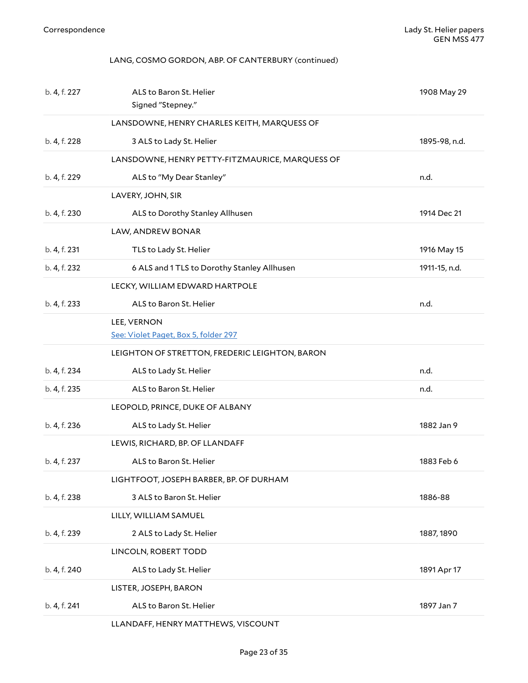### <span id="page-22-0"></span>LANG, COSMO GORDON, ABP. OF CANTERBURY (continued)

<span id="page-22-13"></span><span id="page-22-12"></span><span id="page-22-11"></span><span id="page-22-10"></span><span id="page-22-9"></span><span id="page-22-8"></span><span id="page-22-7"></span><span id="page-22-6"></span><span id="page-22-5"></span><span id="page-22-4"></span><span id="page-22-3"></span><span id="page-22-2"></span><span id="page-22-1"></span>

| b. 4, f. 227 | ALS to Baron St. Helier<br>Signed "Stepney."        | 1908 May 29   |
|--------------|-----------------------------------------------------|---------------|
|              | LANSDOWNE, HENRY CHARLES KEITH, MARQUESS OF         |               |
| b. 4, f. 228 | 3 ALS to Lady St. Helier                            | 1895-98, n.d. |
|              | LANSDOWNE, HENRY PETTY-FITZMAURICE, MARQUESS OF     |               |
| b. 4, f. 229 | ALS to "My Dear Stanley"                            | n.d.          |
|              | LAVERY, JOHN, SIR                                   |               |
| b. 4, f. 230 | ALS to Dorothy Stanley Allhusen                     | 1914 Dec 21   |
|              | LAW, ANDREW BONAR                                   |               |
| b. 4, f. 231 | TLS to Lady St. Helier                              | 1916 May 15   |
| b. 4, f. 232 | 6 ALS and 1 TLS to Dorothy Stanley Allhusen         | 1911-15, n.d. |
|              | LECKY, WILLIAM EDWARD HARTPOLE                      |               |
| b. 4, f. 233 | ALS to Baron St. Helier                             | n.d.          |
|              | LEE, VERNON<br>See: Violet Paget, Box 5, folder 297 |               |
|              | LEIGHTON OF STRETTON, FREDERIC LEIGHTON, BARON      |               |
| b. 4, f. 234 | ALS to Lady St. Helier                              | n.d.          |
| b. 4, f. 235 | ALS to Baron St. Helier                             | n.d.          |
|              | LEOPOLD, PRINCE, DUKE OF ALBANY                     |               |
| b. 4, f. 236 | ALS to Lady St. Helier                              | 1882 Jan 9    |
|              | LEWIS, RICHARD, BP. OF LLANDAFF                     |               |
| b. 4, f. 237 | ALS to Baron St. Helier                             | 1883 Feb 6    |
|              | LIGHTFOOT, JOSEPH BARBER, BP. OF DURHAM             |               |
| b. 4, f. 238 | 3 ALS to Baron St. Helier                           | 1886-88       |
|              | LILLY, WILLIAM SAMUEL                               |               |
| b. 4, f. 239 | 2 ALS to Lady St. Helier                            | 1887, 1890    |
|              | LINCOLN, ROBERT TODD                                |               |
| b. 4, f. 240 | ALS to Lady St. Helier                              | 1891 Apr 17   |
|              | LISTER, JOSEPH, BARON                               |               |
| b. 4, f. 241 | ALS to Baron St. Helier                             | 1897 Jan 7    |
|              | LLANDAFF, HENRY MATTHEWS, VISCOUNT                  |               |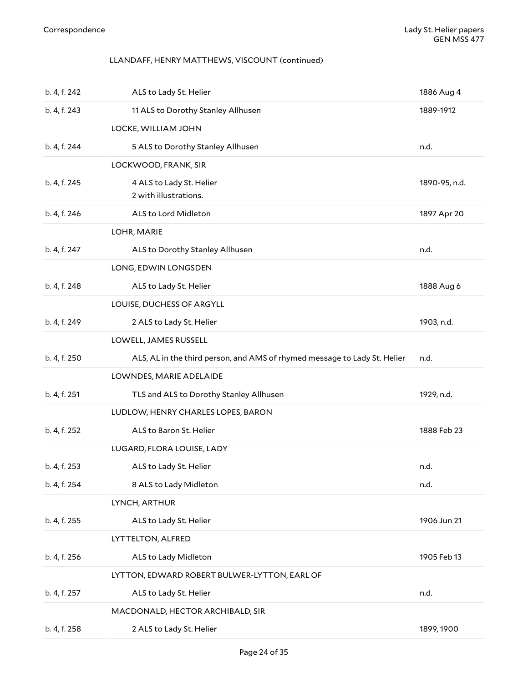### <span id="page-23-0"></span>LLANDAFF, HENRY MATTHEWS, VISCOUNT (continued)

<span id="page-23-12"></span><span id="page-23-11"></span><span id="page-23-10"></span><span id="page-23-9"></span><span id="page-23-8"></span><span id="page-23-7"></span><span id="page-23-6"></span><span id="page-23-5"></span><span id="page-23-4"></span><span id="page-23-3"></span><span id="page-23-2"></span><span id="page-23-1"></span>

| b. 4, f. 242 | ALS to Lady St. Helier                                                    | 1886 Aug 4    |
|--------------|---------------------------------------------------------------------------|---------------|
| b. 4, f. 243 | 11 ALS to Dorothy Stanley Allhusen                                        | 1889-1912     |
|              | LOCKE, WILLIAM JOHN                                                       |               |
| b. 4, f. 244 | 5 ALS to Dorothy Stanley Allhusen                                         | n.d.          |
|              | LOCKWOOD, FRANK, SIR                                                      |               |
| b. 4, f. 245 | 4 ALS to Lady St. Helier                                                  | 1890-95, n.d. |
|              | 2 with illustrations.                                                     |               |
| b. 4, f. 246 | ALS to Lord Midleton                                                      | 1897 Apr 20   |
|              | LOHR, MARIE                                                               |               |
| b. 4, f. 247 | ALS to Dorothy Stanley Allhusen                                           | n.d.          |
|              | LONG, EDWIN LONGSDEN                                                      |               |
| b. 4, f. 248 | ALS to Lady St. Helier                                                    | 1888 Aug 6    |
|              | LOUISE, DUCHESS OF ARGYLL                                                 |               |
| b. 4, f. 249 | 2 ALS to Lady St. Helier                                                  | 1903, n.d.    |
|              | LOWELL, JAMES RUSSELL                                                     |               |
| b. 4, f. 250 | ALS, AL in the third person, and AMS of rhymed message to Lady St. Helier | n.d.          |
|              | LOWNDES, MARIE ADELAIDE                                                   |               |
| b. 4, f. 251 | TLS and ALS to Dorothy Stanley Allhusen                                   | 1929, n.d.    |
|              | LUDLOW, HENRY CHARLES LOPES, BARON                                        |               |
| b. 4, f. 252 | ALS to Baron St. Helier                                                   | 1888 Feb 23   |
|              | LUGARD, FLORA LOUISE, LADY                                                |               |
| b. 4, f. 253 | ALS to Lady St. Helier                                                    | n.d.          |
| b. 4, f. 254 | 8 ALS to Lady Midleton                                                    | n.d.          |
|              | LYNCH, ARTHUR                                                             |               |
| b. 4, f. 255 | ALS to Lady St. Helier                                                    | 1906 Jun 21   |
|              | <b>LYTTELTON, ALFRED</b>                                                  |               |
| b. 4, f. 256 | ALS to Lady Midleton                                                      | 1905 Feb 13   |
|              | LYTTON, EDWARD ROBERT BULWER-LYTTON, EARL OF                              |               |
| b. 4, f. 257 | ALS to Lady St. Helier                                                    | n.d.          |
|              | MACDONALD, HECTOR ARCHIBALD, SIR                                          |               |
| b. 4, f. 258 | 2 ALS to Lady St. Helier                                                  | 1899, 1900    |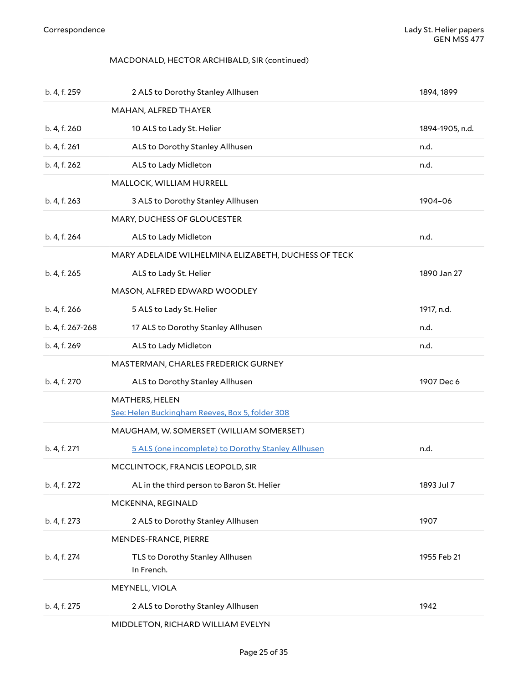### <span id="page-24-0"></span>MACDONALD, HECTOR ARCHIBALD, SIR (continued)

<span id="page-24-12"></span><span id="page-24-11"></span><span id="page-24-10"></span><span id="page-24-9"></span><span id="page-24-8"></span><span id="page-24-7"></span><span id="page-24-6"></span><span id="page-24-5"></span><span id="page-24-4"></span><span id="page-24-3"></span><span id="page-24-2"></span><span id="page-24-1"></span>

| b. 4, f. 259     | 2 ALS to Dorothy Stanley Allhusen                   | 1894, 1899      |
|------------------|-----------------------------------------------------|-----------------|
|                  | MAHAN, ALFRED THAYER                                |                 |
| b. 4, f. 260     | 10 ALS to Lady St. Helier                           | 1894-1905, n.d. |
| b. 4, f. 261     | ALS to Dorothy Stanley Allhusen                     | n.d.            |
| b. 4, f. 262     | ALS to Lady Midleton                                | n.d.            |
|                  | MALLOCK, WILLIAM HURRELL                            |                 |
| b. 4, f. 263     | 3 ALS to Dorothy Stanley Allhusen                   | 1904-06         |
|                  | MARY, DUCHESS OF GLOUCESTER                         |                 |
| b. 4, f. 264     | ALS to Lady Midleton                                | n.d.            |
|                  | MARY ADELAIDE WILHELMINA ELIZABETH, DUCHESS OF TECK |                 |
| b. 4, f. 265     | ALS to Lady St. Helier                              | 1890 Jan 27     |
|                  | MASON, ALFRED EDWARD WOODLEY                        |                 |
| b. 4, f. 266     | 5 ALS to Lady St. Helier                            | 1917, n.d.      |
| b. 4, f. 267-268 | 17 ALS to Dorothy Stanley Allhusen                  | n.d.            |
| b. 4, f. 269     | ALS to Lady Midleton                                | n.d.            |
|                  | MASTERMAN, CHARLES FREDERICK GURNEY                 |                 |
| b. 4, f. 270     | ALS to Dorothy Stanley Allhusen                     | 1907 Dec 6      |
|                  | MATHERS, HELEN                                      |                 |
|                  | See: Helen Buckingham Reeves, Box 5, folder 308     |                 |
|                  | MAUGHAM, W. SOMERSET (WILLIAM SOMERSET)             |                 |
| b. 4, f. 271     | 5 ALS (one incomplete) to Dorothy Stanley Allhusen  | n.d.            |
|                  | MCCLINTOCK, FRANCIS LEOPOLD, SIR                    |                 |
| b. 4, f. 272     | AL in the third person to Baron St. Helier          | 1893 Jul 7      |
|                  | MCKENNA, REGINALD                                   |                 |
| b. 4, f. 273     | 2 ALS to Dorothy Stanley Allhusen                   | 1907            |
|                  | MENDES-FRANCE, PIERRE                               |                 |
| b. 4, f. 274     | TLS to Dorothy Stanley Allhusen<br>In French.       | 1955 Feb 21     |
|                  | MEYNELL, VIOLA                                      |                 |
| b. 4, f. 275     | 2 ALS to Dorothy Stanley Allhusen                   | 1942            |
|                  | MIDDLETON, RICHARD WILLIAM EVELYN                   |                 |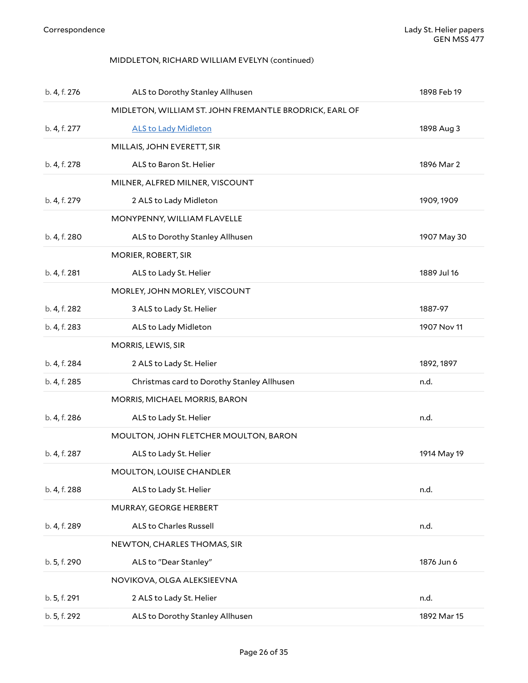### <span id="page-25-1"></span><span id="page-25-0"></span>MIDDLETON, RICHARD WILLIAM EVELYN (continued)

<span id="page-25-13"></span><span id="page-25-12"></span><span id="page-25-11"></span><span id="page-25-10"></span><span id="page-25-9"></span><span id="page-25-8"></span><span id="page-25-7"></span><span id="page-25-6"></span><span id="page-25-5"></span><span id="page-25-4"></span><span id="page-25-3"></span><span id="page-25-2"></span>

| b. 4, f. 276 | ALS to Dorothy Stanley Allhusen                        | 1898 Feb 19 |
|--------------|--------------------------------------------------------|-------------|
|              | MIDLETON, WILLIAM ST. JOHN FREMANTLE BRODRICK, EARL OF |             |
| b. 4, f. 277 | <b>ALS to Lady Midleton</b>                            | 1898 Aug 3  |
|              | MILLAIS, JOHN EVERETT, SIR                             |             |
| b. 4, f. 278 | ALS to Baron St. Helier                                | 1896 Mar 2  |
|              | MILNER, ALFRED MILNER, VISCOUNT                        |             |
| b. 4, f. 279 | 2 ALS to Lady Midleton                                 | 1909, 1909  |
|              | MONYPENNY, WILLIAM FLAVELLE                            |             |
| b. 4, f. 280 | ALS to Dorothy Stanley Allhusen                        | 1907 May 30 |
|              | MORIER, ROBERT, SIR                                    |             |
| b. 4, f. 281 | ALS to Lady St. Helier                                 | 1889 Jul 16 |
|              | MORLEY, JOHN MORLEY, VISCOUNT                          |             |
| b. 4, f. 282 | 3 ALS to Lady St. Helier                               | 1887-97     |
| b. 4, f. 283 | ALS to Lady Midleton                                   | 1907 Nov 11 |
|              | MORRIS, LEWIS, SIR                                     |             |
| b. 4, f. 284 | 2 ALS to Lady St. Helier                               | 1892, 1897  |
| b. 4, f. 285 | Christmas card to Dorothy Stanley Allhusen             | n.d.        |
|              | MORRIS, MICHAEL MORRIS, BARON                          |             |
| b. 4, f. 286 | ALS to Lady St. Helier                                 | n.d.        |
|              | MOULTON, JOHN FLETCHER MOULTON, BARON                  |             |
| b. 4, f. 287 | ALS to Lady St. Helier                                 | 1914 May 19 |
|              | MOULTON, LOUISE CHANDLER                               |             |
| b. 4, f. 288 | ALS to Lady St. Helier                                 | n.d.        |
|              | MURRAY, GEORGE HERBERT                                 |             |
| b. 4, f. 289 | ALS to Charles Russell                                 | n.d.        |
|              | NEWTON, CHARLES THOMAS, SIR                            |             |
| b. 5, f. 290 | ALS to "Dear Stanley"                                  | 1876 Jun 6  |
|              | NOVIKOVA, OLGA ALEKSIEEVNA                             |             |
| b. 5, f. 291 | 2 ALS to Lady St. Helier                               | n.d.        |
| b. 5, f. 292 | ALS to Dorothy Stanley Allhusen                        | 1892 Mar 15 |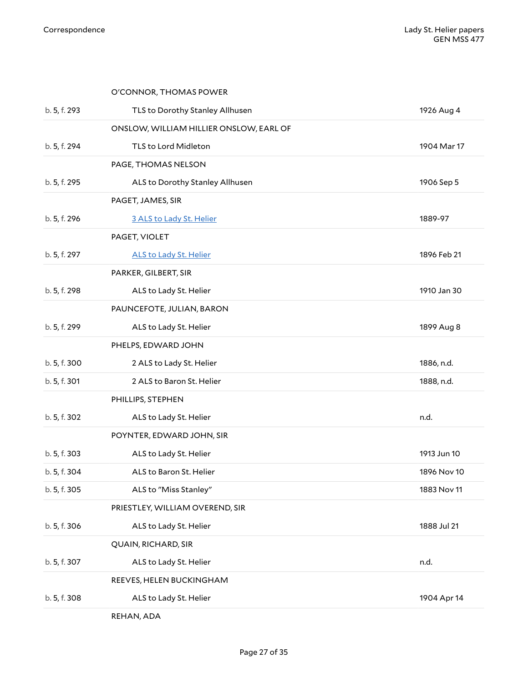<span id="page-26-15"></span><span id="page-26-14"></span><span id="page-26-13"></span><span id="page-26-12"></span><span id="page-26-11"></span><span id="page-26-10"></span><span id="page-26-9"></span><span id="page-26-8"></span><span id="page-26-7"></span><span id="page-26-6"></span><span id="page-26-5"></span><span id="page-26-4"></span><span id="page-26-3"></span><span id="page-26-2"></span><span id="page-26-1"></span><span id="page-26-0"></span>

|              | O'CONNOR, THOMAS POWER                  |             |
|--------------|-----------------------------------------|-------------|
| b. 5, f. 293 | TLS to Dorothy Stanley Allhusen         | 1926 Aug 4  |
|              | ONSLOW, WILLIAM HILLIER ONSLOW, EARL OF |             |
| b. 5, f. 294 | TLS to Lord Midleton                    | 1904 Mar 17 |
|              | PAGE, THOMAS NELSON                     |             |
| b. 5, f. 295 | ALS to Dorothy Stanley Allhusen         | 1906 Sep 5  |
|              | PAGET, JAMES, SIR                       |             |
| b. 5, f. 296 | 3 ALS to Lady St. Helier                | 1889-97     |
|              | PAGET, VIOLET                           |             |
| b. 5, f. 297 | <b>ALS to Lady St. Helier</b>           | 1896 Feb 21 |
|              | PARKER, GILBERT, SIR                    |             |
| b. 5, f. 298 | ALS to Lady St. Helier                  | 1910 Jan 30 |
|              | PAUNCEFOTE, JULIAN, BARON               |             |
| b. 5, f. 299 | ALS to Lady St. Helier                  | 1899 Aug 8  |
|              | PHELPS, EDWARD JOHN                     |             |
| b. 5, f. 300 | 2 ALS to Lady St. Helier                | 1886, n.d.  |
| b. 5, f. 301 | 2 ALS to Baron St. Helier               | 1888, n.d.  |
|              | PHILLIPS, STEPHEN                       |             |
| b. 5, f. 302 | ALS to Lady St. Helier                  | n.d.        |
|              | POYNTER, EDWARD JOHN, SIR               |             |
| b. 5, f. 303 | ALS to Lady St. Helier                  | 1913 Jun 10 |
| b. 5, f. 304 | ALS to Baron St. Helier                 | 1896 Nov 10 |
| b. 5, f. 305 | ALS to "Miss Stanley"                   | 1883 Nov 11 |
|              | PRIESTLEY, WILLIAM OVEREND, SIR         |             |
| b. 5, f. 306 | ALS to Lady St. Helier                  | 1888 Jul 21 |
|              | QUAIN, RICHARD, SIR                     |             |
| b. 5, f. 307 | ALS to Lady St. Helier                  | n.d.        |
|              | REEVES, HELEN BUCKINGHAM                |             |
|              |                                         |             |
| b. 5, f. 308 | ALS to Lady St. Helier                  | 1904 Apr 14 |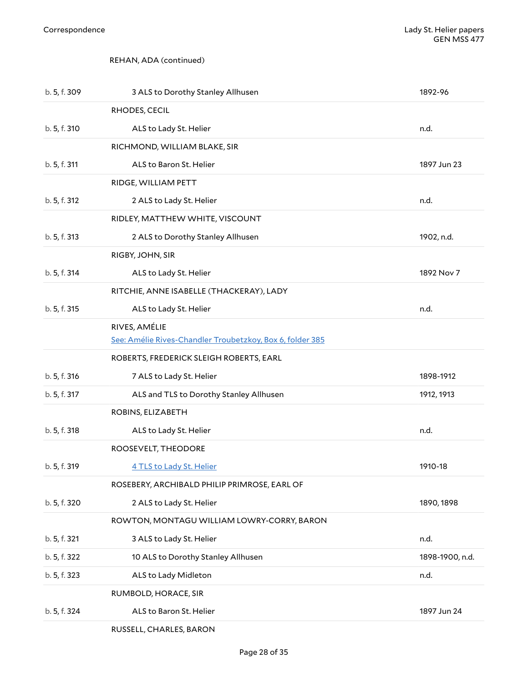### <span id="page-27-1"></span><span id="page-27-0"></span>REHAN, ADA (continued)

<span id="page-27-6"></span><span id="page-27-5"></span><span id="page-27-4"></span><span id="page-27-3"></span><span id="page-27-2"></span>

| b. 5, f. 309 | 3 ALS to Dorothy Stanley Allhusen                         | 1892-96         |
|--------------|-----------------------------------------------------------|-----------------|
|              | RHODES, CECIL                                             |                 |
| b. 5, f. 310 | ALS to Lady St. Helier                                    | n.d.            |
|              | RICHMOND, WILLIAM BLAKE, SIR                              |                 |
| b. 5, f. 311 | ALS to Baron St. Helier                                   | 1897 Jun 23     |
|              | RIDGE, WILLIAM PETT                                       |                 |
| b. 5, f. 312 | 2 ALS to Lady St. Helier                                  | n.d.            |
|              | RIDLEY, MATTHEW WHITE, VISCOUNT                           |                 |
| b. 5, f. 313 | 2 ALS to Dorothy Stanley Allhusen                         | 1902, n.d.      |
|              | RIGBY, JOHN, SIR                                          |                 |
| b. 5, f. 314 | ALS to Lady St. Helier                                    | 1892 Nov 7      |
|              | RITCHIE, ANNE ISABELLE (THACKERAY), LADY                  |                 |
| b. 5, f. 315 | ALS to Lady St. Helier                                    | n.d.            |
|              | RIVES, AMÉLIE                                             |                 |
|              | See: Amélie Rives-Chandler Troubetzkoy, Box 6, folder 385 |                 |
|              | ROBERTS, FREDERICK SLEIGH ROBERTS, EARL                   |                 |
| b. 5, f. 316 | 7 ALS to Lady St. Helier                                  | 1898-1912       |
| b. 5, f. 317 | ALS and TLS to Dorothy Stanley Allhusen                   | 1912, 1913      |
|              | ROBINS, ELIZABETH                                         |                 |
| b. 5, f. 318 | ALS to Lady St. Helier                                    | n.d.            |
|              | ROOSEVELT, THEODORE                                       |                 |
| b. 5, f. 319 | 4 TLS to Lady St. Helier                                  | 1910-18         |
|              | ROSEBERY, ARCHIBALD PHILIP PRIMROSE, EARL OF              |                 |
| b. 5, f. 320 | 2 ALS to Lady St. Helier                                  | 1890, 1898      |
|              | ROWTON, MONTAGU WILLIAM LOWRY-CORRY, BARON                |                 |
| b. 5, f. 321 | 3 ALS to Lady St. Helier                                  | n.d.            |
| b. 5, f. 322 | 10 ALS to Dorothy Stanley Allhusen                        | 1898-1900, n.d. |
| b. 5, f. 323 | ALS to Lady Midleton                                      | n.d.            |
|              | RUMBOLD, HORACE, SIR                                      |                 |
| b. 5, f. 324 | ALS to Baron St. Helier                                   | 1897 Jun 24     |
|              |                                                           |                 |

<span id="page-27-13"></span><span id="page-27-12"></span><span id="page-27-11"></span><span id="page-27-10"></span><span id="page-27-9"></span><span id="page-27-8"></span><span id="page-27-7"></span>RUSSELL, CHARLES, BARON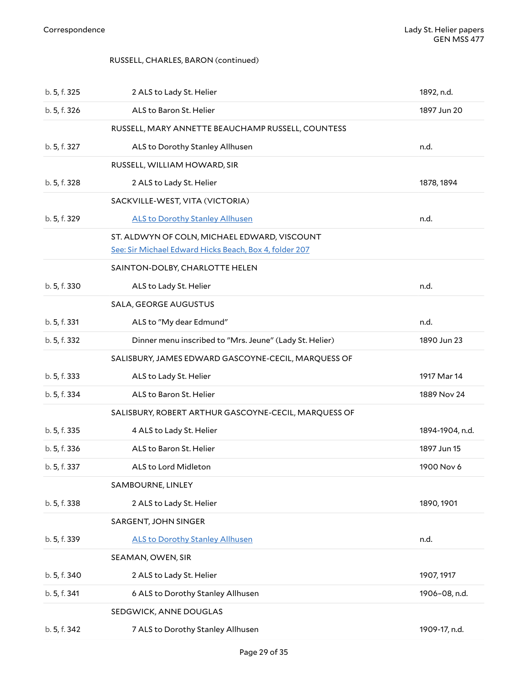### <span id="page-28-12"></span><span id="page-28-0"></span>RUSSELL, CHARLES, BARON (continued)

<span id="page-28-11"></span><span id="page-28-10"></span><span id="page-28-9"></span><span id="page-28-8"></span><span id="page-28-7"></span><span id="page-28-6"></span><span id="page-28-5"></span><span id="page-28-4"></span><span id="page-28-3"></span><span id="page-28-2"></span><span id="page-28-1"></span>

| b. 5, f. 325 | 2 ALS to Lady St. Helier                                                                               | 1892, n.d.      |
|--------------|--------------------------------------------------------------------------------------------------------|-----------------|
| b. 5, f. 326 | ALS to Baron St. Helier                                                                                | 1897 Jun 20     |
|              | RUSSELL, MARY ANNETTE BEAUCHAMP RUSSELL, COUNTESS                                                      |                 |
| b. 5, f. 327 | ALS to Dorothy Stanley Allhusen                                                                        | n.d.            |
|              | RUSSELL, WILLIAM HOWARD, SIR                                                                           |                 |
| b. 5, f. 328 | 2 ALS to Lady St. Helier                                                                               | 1878, 1894      |
|              | SACKVILLE-WEST, VITA (VICTORIA)                                                                        |                 |
| b. 5, f. 329 | <b>ALS to Dorothy Stanley Allhusen</b>                                                                 | n.d.            |
|              | ST. ALDWYN OF COLN, MICHAEL EDWARD, VISCOUNT<br>See: Sir Michael Edward Hicks Beach, Box 4, folder 207 |                 |
|              | SAINTON-DOLBY, CHARLOTTE HELEN                                                                         |                 |
| b. 5, f. 330 | ALS to Lady St. Helier                                                                                 | n.d.            |
|              | SALA, GEORGE AUGUSTUS                                                                                  |                 |
| b. 5, f. 331 | ALS to "My dear Edmund"                                                                                | n.d.            |
| b. 5, f. 332 | Dinner menu inscribed to "Mrs. Jeune" (Lady St. Helier)                                                | 1890 Jun 23     |
|              | SALISBURY, JAMES EDWARD GASCOYNE-CECIL, MARQUESS OF                                                    |                 |
| b. 5, f. 333 | ALS to Lady St. Helier                                                                                 | 1917 Mar 14     |
| b. 5, f. 334 | ALS to Baron St. Helier                                                                                | 1889 Nov 24     |
|              | SALISBURY, ROBERT ARTHUR GASCOYNE-CECIL, MARQUESS OF                                                   |                 |
| b. 5, f. 335 | 4 ALS to Lady St. Helier                                                                               | 1894-1904, n.d. |
| b. 5, f. 336 | ALS to Baron St. Helier                                                                                | 1897 Jun 15     |
| b. 5, f. 337 | ALS to Lord Midleton                                                                                   | 1900 Nov 6      |
|              | SAMBOURNE, LINLEY                                                                                      |                 |
| b. 5, f. 338 | 2 ALS to Lady St. Helier                                                                               | 1890, 1901      |
|              | SARGENT, JOHN SINGER                                                                                   |                 |
| b. 5, f. 339 | <b>ALS to Dorothy Stanley Allhusen</b>                                                                 | n.d.            |
|              | SEAMAN, OWEN, SIR                                                                                      |                 |
| b. 5, f. 340 | 2 ALS to Lady St. Helier                                                                               | 1907, 1917      |
| b. 5, f. 341 | 6 ALS to Dorothy Stanley Allhusen                                                                      | 1906-08, n.d.   |
|              | SEDGWICK, ANNE DOUGLAS                                                                                 |                 |
| b. 5, f. 342 | 7 ALS to Dorothy Stanley Allhusen                                                                      | 1909-17, n.d.   |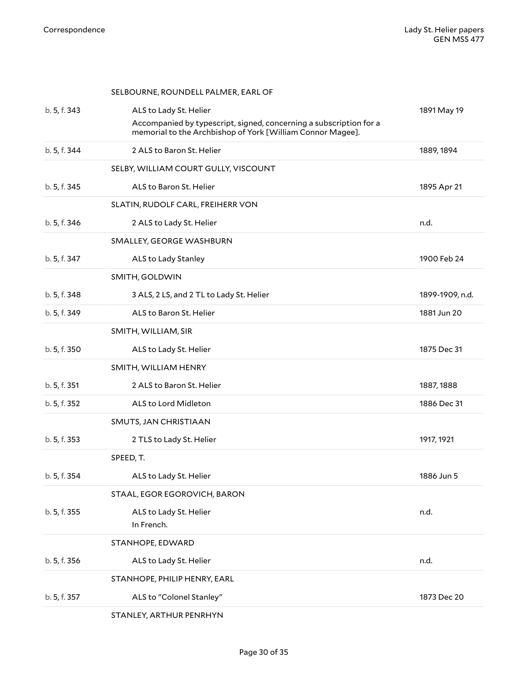<span id="page-29-12"></span><span id="page-29-11"></span><span id="page-29-10"></span><span id="page-29-9"></span><span id="page-29-8"></span><span id="page-29-7"></span><span id="page-29-6"></span><span id="page-29-5"></span><span id="page-29-4"></span><span id="page-29-3"></span><span id="page-29-2"></span><span id="page-29-1"></span><span id="page-29-0"></span>

|              | SELBOURNE, ROUNDELL PALMER, EARL OF                                                                                              |                 |
|--------------|----------------------------------------------------------------------------------------------------------------------------------|-----------------|
| b. 5, f. 343 | ALS to Lady St. Helier                                                                                                           | 1891 May 19     |
|              | Accompanied by typescript, signed, concerning a subscription for a<br>memorial to the Archbishop of York [William Connor Magee]. |                 |
| b. 5, f. 344 | 2 ALS to Baron St. Helier                                                                                                        | 1889, 1894      |
|              | SELBY, WILLIAM COURT GULLY, VISCOUNT                                                                                             |                 |
| b. 5, f. 345 | ALS to Baron St. Helier                                                                                                          | 1895 Apr 21     |
|              | SLATIN, RUDOLF CARL, FREIHERR VON                                                                                                |                 |
| b. 5, f. 346 | 2 ALS to Lady St. Helier                                                                                                         | n.d.            |
|              | SMALLEY, GEORGE WASHBURN                                                                                                         |                 |
| b. 5, f. 347 | ALS to Lady Stanley                                                                                                              | 1900 Feb 24     |
|              | SMITH, GOLDWIN                                                                                                                   |                 |
| b. 5, f. 348 | 3 ALS, 2 LS, and 2 TL to Lady St. Helier                                                                                         | 1899-1909, n.d. |
| b. 5, f. 349 | ALS to Baron St. Helier                                                                                                          | 1881 Jun 20     |
|              | SMITH, WILLIAM, SIR                                                                                                              |                 |
| b. 5, f. 350 | ALS to Lady St. Helier                                                                                                           | 1875 Dec 31     |
|              | SMITH, WILLIAM HENRY                                                                                                             |                 |
| b. 5, f. 351 | 2 ALS to Baron St. Helier                                                                                                        | 1887, 1888      |
| b. 5, f. 352 | ALS to Lord Midleton                                                                                                             | 1886 Dec 31     |
|              | SMUTS, JAN CHRISTIAAN                                                                                                            |                 |
| b. 5, f. 353 | 2 TLS to Lady St. Helier                                                                                                         | 1917, 1921      |
|              | SPEED, T.                                                                                                                        |                 |
| b. 5, f. 354 | ALS to Lady St. Helier                                                                                                           | 1886 Jun 5      |
|              | STAAL, EGOR EGOROVICH, BARON                                                                                                     |                 |
| b. 5, f. 355 | ALS to Lady St. Helier                                                                                                           | n.d.            |
|              | In French.                                                                                                                       |                 |
|              | STANHOPE, EDWARD                                                                                                                 |                 |
| b. 5, f. 356 | ALS to Lady St. Helier                                                                                                           | n.d.            |
|              | STANHOPE, PHILIP HENRY, EARL                                                                                                     |                 |
| b. 5, f. 357 | ALS to "Colonel Stanley"                                                                                                         | 1873 Dec 20     |
|              | STANLEY, ARTHUR PENRHYN                                                                                                          |                 |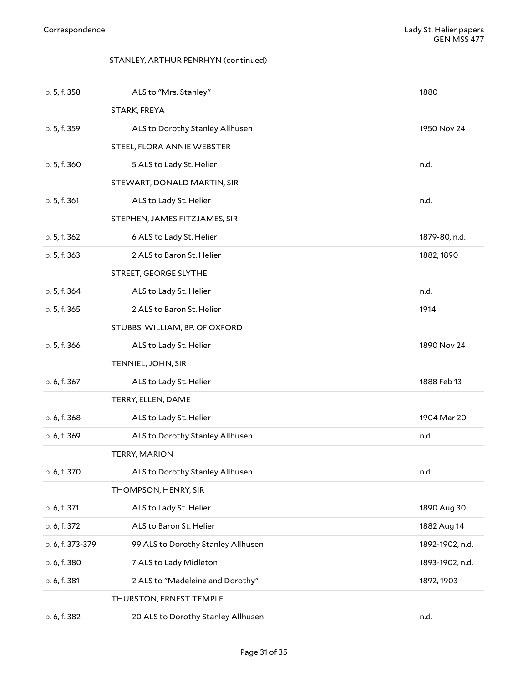#### <span id="page-30-1"></span><span id="page-30-0"></span>STANLEY, ARTHUR PENRHYN (continued)

<span id="page-30-10"></span><span id="page-30-9"></span><span id="page-30-8"></span><span id="page-30-7"></span><span id="page-30-6"></span><span id="page-30-5"></span><span id="page-30-4"></span><span id="page-30-3"></span><span id="page-30-2"></span>

| b. 5, f. 358     | ALS to "Mrs. Stanley"              | 1880            |
|------------------|------------------------------------|-----------------|
|                  | STARK, FREYA                       |                 |
| b. 5, f. 359     | ALS to Dorothy Stanley Allhusen    | 1950 Nov 24     |
|                  | STEEL, FLORA ANNIE WEBSTER         |                 |
| b. 5, f. 360     | 5 ALS to Lady St. Helier           | n.d.            |
|                  | STEWART, DONALD MARTIN, SIR        |                 |
| b. 5, f. 361     | ALS to Lady St. Helier             | n.d.            |
|                  | STEPHEN, JAMES FITZJAMES, SIR      |                 |
| b. 5, f. 362     | 6 ALS to Lady St. Helier           | 1879-80, n.d.   |
| b. 5, f. 363     | 2 ALS to Baron St. Helier          | 1882, 1890      |
|                  | STREET, GEORGE SLYTHE              |                 |
| b. 5, f. 364     | ALS to Lady St. Helier             | n.d.            |
| b. 5, f. 365     | 2 ALS to Baron St. Helier          | 1914            |
|                  | STUBBS, WILLIAM, BP. OF OXFORD     |                 |
| b. 5, f. 366     | ALS to Lady St. Helier             | 1890 Nov 24     |
|                  | TENNIEL, JOHN, SIR                 |                 |
| b. 6, f. 367     | ALS to Lady St. Helier             | 1888 Feb 13     |
|                  | TERRY, ELLEN, DAME                 |                 |
| b. 6, f. 368     | ALS to Lady St. Helier             | 1904 Mar 20     |
| b. 6, f. 369     | ALS to Dorothy Stanley Allhusen    | n.d.            |
|                  | <b>TERRY, MARION</b>               |                 |
| b. 6, f. 370     | ALS to Dorothy Stanley Allhusen    | n.d.            |
|                  | THOMPSON, HENRY, SIR               |                 |
| b. 6, f. 371     | ALS to Lady St. Helier             | 1890 Aug 30     |
| b. 6, f. 372     | ALS to Baron St. Helier            | 1882 Aug 14     |
| b. 6, f. 373-379 | 99 ALS to Dorothy Stanley Allhusen | 1892-1902, n.d. |
| b. 6, f. 380     | 7 ALS to Lady Midleton             | 1893-1902, n.d. |
| b. 6, f. 381     | 2 ALS to "Madeleine and Dorothy"   | 1892, 1903      |
|                  | THURSTON, ERNEST TEMPLE            |                 |
| b. 6, f. 382     | 20 ALS to Dorothy Stanley Allhusen | n.d.            |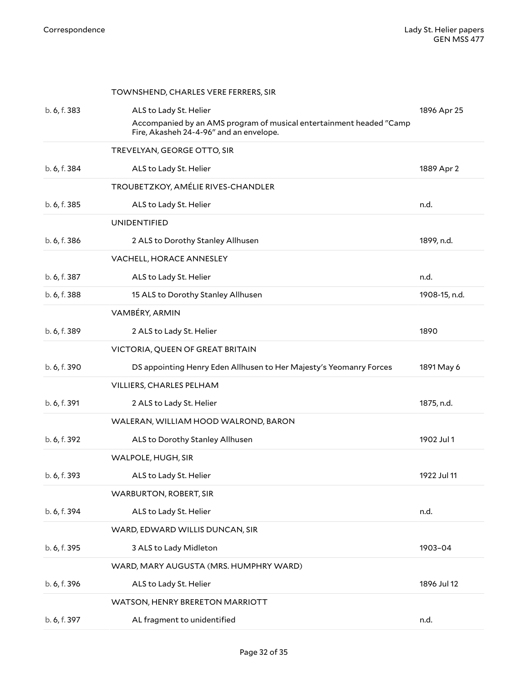<span id="page-31-14"></span><span id="page-31-13"></span><span id="page-31-12"></span><span id="page-31-11"></span><span id="page-31-10"></span><span id="page-31-9"></span><span id="page-31-8"></span><span id="page-31-7"></span><span id="page-31-6"></span><span id="page-31-5"></span><span id="page-31-4"></span><span id="page-31-3"></span><span id="page-31-2"></span><span id="page-31-1"></span><span id="page-31-0"></span>

|              | TOWNSHEND, CHARLES VERE FERRERS, SIR                                                                           |               |
|--------------|----------------------------------------------------------------------------------------------------------------|---------------|
| b. 6, f. 383 | ALS to Lady St. Helier                                                                                         | 1896 Apr 25   |
|              | Accompanied by an AMS program of musical entertainment headed "Camp<br>Fire, Akasheh 24-4-96" and an envelope. |               |
|              | TREVELYAN, GEORGE OTTO, SIR                                                                                    |               |
| b. 6, f. 384 | ALS to Lady St. Helier                                                                                         | 1889 Apr 2    |
|              | TROUBETZKOY, AMÉLIE RIVES-CHANDLER                                                                             |               |
| b. 6, f. 385 | ALS to Lady St. Helier                                                                                         | n.d.          |
|              | UNIDENTIFIED                                                                                                   |               |
| b. 6, f. 386 | 2 ALS to Dorothy Stanley Allhusen                                                                              | 1899, n.d.    |
|              | VACHELL, HORACE ANNESLEY                                                                                       |               |
| b. 6, f. 387 | ALS to Lady St. Helier                                                                                         | n.d.          |
| b. 6, f. 388 | 15 ALS to Dorothy Stanley Allhusen                                                                             | 1908-15, n.d. |
|              | VAMBÉRY, ARMIN                                                                                                 |               |
| b. 6, f. 389 | 2 ALS to Lady St. Helier                                                                                       | 1890          |
|              | VICTORIA, QUEEN OF GREAT BRITAIN                                                                               |               |
|              |                                                                                                                |               |
| b. 6, f. 390 | DS appointing Henry Eden Allhusen to Her Majesty's Yeomanry Forces                                             | 1891 May 6    |
|              | VILLIERS, CHARLES PELHAM                                                                                       |               |
| b. 6, f. 391 | 2 ALS to Lady St. Helier                                                                                       | 1875, n.d.    |
|              | WALERAN, WILLIAM HOOD WALROND, BARON                                                                           |               |
| b. 6, f. 392 | ALS to Dorothy Stanley Allhusen                                                                                | 1902 Jul 1    |
|              | WALPOLE, HUGH, SIR                                                                                             |               |
| b. 6, f. 393 | ALS to Lady St. Helier                                                                                         | 1922 Jul 11   |
|              | <b>WARBURTON, ROBERT, SIR</b>                                                                                  |               |
| b. 6, f. 394 | ALS to Lady St. Helier                                                                                         | n.d.          |
|              | WARD, EDWARD WILLIS DUNCAN, SIR                                                                                |               |
| b. 6, f. 395 | 3 ALS to Lady Midleton                                                                                         | 1903-04       |
|              | WARD, MARY AUGUSTA (MRS. HUMPHRY WARD)                                                                         |               |
| b. 6, f. 396 | ALS to Lady St. Helier                                                                                         | 1896 Jul 12   |
|              | WATSON, HENRY BRERETON MARRIOTT                                                                                |               |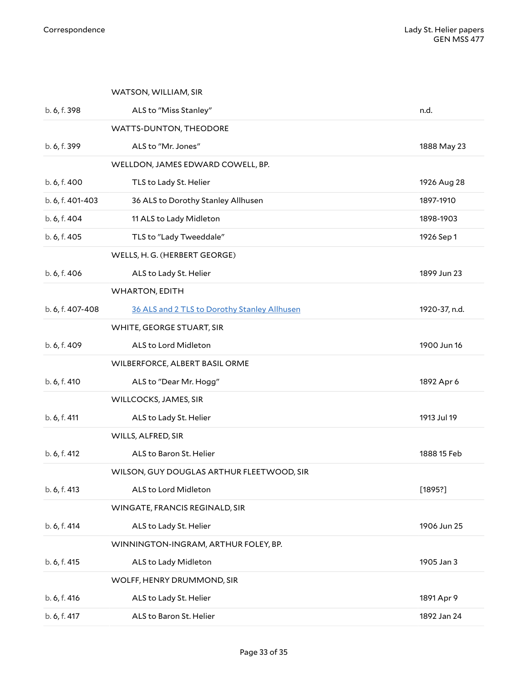<span id="page-32-12"></span><span id="page-32-11"></span><span id="page-32-10"></span><span id="page-32-9"></span><span id="page-32-8"></span><span id="page-32-7"></span><span id="page-32-6"></span><span id="page-32-5"></span><span id="page-32-4"></span><span id="page-32-3"></span><span id="page-32-2"></span><span id="page-32-1"></span><span id="page-32-0"></span>

|                  | WATSON, WILLIAM, SIR                         |               |
|------------------|----------------------------------------------|---------------|
| b. 6, f. 398     | ALS to "Miss Stanley"                        | n.d.          |
|                  | WATTS-DUNTON, THEODORE                       |               |
| b. 6, f. 399     | ALS to "Mr. Jones"                           | 1888 May 23   |
|                  | WELLDON, JAMES EDWARD COWELL, BP.            |               |
| b. 6, f. 400     | TLS to Lady St. Helier                       | 1926 Aug 28   |
| b. 6, f. 401-403 | 36 ALS to Dorothy Stanley Allhusen           | 1897-1910     |
| b. 6, f. 404     | 11 ALS to Lady Midleton                      | 1898-1903     |
| b. 6, f. 405     | TLS to "Lady Tweeddale"                      | 1926 Sep 1    |
|                  | WELLS, H. G. (HERBERT GEORGE)                |               |
| b. 6, f. 406     | ALS to Lady St. Helier                       | 1899 Jun 23   |
|                  | <b>WHARTON, EDITH</b>                        |               |
| b. 6, f. 407-408 | 36 ALS and 2 TLS to Dorothy Stanley Allhusen | 1920-37, n.d. |
|                  | WHITE, GEORGE STUART, SIR                    |               |
| b. 6, f. 409     | ALS to Lord Midleton                         | 1900 Jun 16   |
|                  | WILBERFORCE, ALBERT BASIL ORME               |               |
| b. 6, f. 410     | ALS to "Dear Mr. Hogg"                       | 1892 Apr 6    |
|                  | WILLCOCKS, JAMES, SIR                        |               |
| b. 6, f. 411     | ALS to Lady St. Helier                       | 1913 Jul 19   |
|                  | WILLS, ALFRED, SIR                           |               |
| b. 6, f. 412     | ALS to Baron St. Helier                      | 1888 15 Feb   |
|                  | WILSON, GUY DOUGLAS ARTHUR FLEETWOOD, SIR    |               |
| b. 6, f. 413     | ALS to Lord Midleton                         | [1895?]       |
|                  | WINGATE, FRANCIS REGINALD, SIR               |               |
| b. 6, f. 414     | ALS to Lady St. Helier                       | 1906 Jun 25   |
|                  | WINNINGTON-INGRAM, ARTHUR FOLEY, BP.         |               |
| b. 6, f. 415     | ALS to Lady Midleton                         | 1905 Jan 3    |
|                  | WOLFF, HENRY DRUMMOND, SIR                   |               |
| b. 6, f. 416     | ALS to Lady St. Helier                       | 1891 Apr 9    |
| b. 6, f. 417     | ALS to Baron St. Helier                      | 1892 Jan 24   |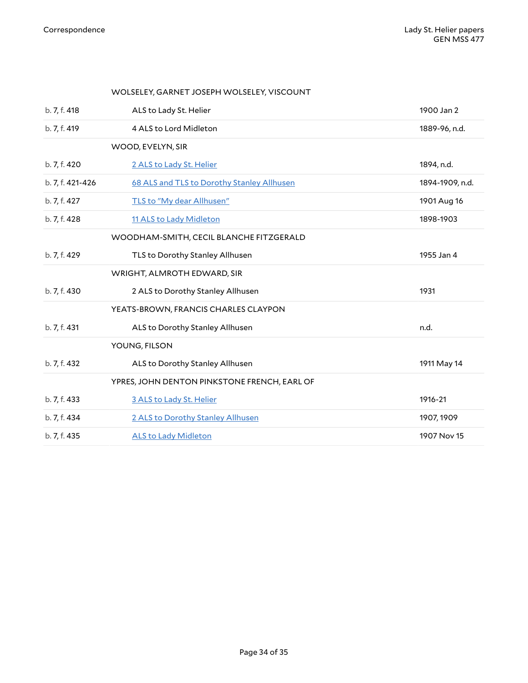<span id="page-33-8"></span><span id="page-33-7"></span><span id="page-33-6"></span><span id="page-33-5"></span><span id="page-33-4"></span><span id="page-33-3"></span><span id="page-33-2"></span><span id="page-33-1"></span><span id="page-33-0"></span>

|                  | WOLSELEY, GARNET JOSEPH WOLSELEY, VISCOUNT   |                 |
|------------------|----------------------------------------------|-----------------|
| b. 7, f. 418     | ALS to Lady St. Helier                       | 1900 Jan 2      |
| b. 7, f. 419     | 4 ALS to Lord Midleton                       | 1889-96, n.d.   |
|                  | WOOD, EVELYN, SIR                            |                 |
| b. 7, f. 420     | 2 ALS to Lady St. Helier                     | 1894, n.d.      |
| b. 7, f. 421-426 | 68 ALS and TLS to Dorothy Stanley Allhusen   | 1894-1909, n.d. |
| b. 7, f. 427     | TLS to "My dear Allhusen"                    | 1901 Aug 16     |
| b. 7, f. 428     | 11 ALS to Lady Midleton                      | 1898-1903       |
|                  | WOODHAM-SMITH, CECIL BLANCHE FITZGERALD      |                 |
| b. 7, f. 429     | TLS to Dorothy Stanley Allhusen              | 1955 Jan 4      |
|                  | WRIGHT, ALMROTH EDWARD, SIR                  |                 |
| b. 7, f. 430     | 2 ALS to Dorothy Stanley Allhusen            | 1931            |
|                  | YEATS-BROWN, FRANCIS CHARLES CLAYPON         |                 |
| b. 7, f. 431     | ALS to Dorothy Stanley Allhusen              | n.d.            |
|                  | YOUNG, FILSON                                |                 |
| b. 7, f. 432     | ALS to Dorothy Stanley Allhusen              | 1911 May 14     |
|                  | YPRES, JOHN DENTON PINKSTONE FRENCH, EARL OF |                 |
| b. 7, f. 433     | 3 ALS to Lady St. Helier                     | 1916-21         |
| b. 7, f. 434     | 2 ALS to Dorothy Stanley Allhusen            | 1907, 1909      |
| b. 7, f. 435     | <b>ALS to Lady Midleton</b>                  | 1907 Nov 15     |